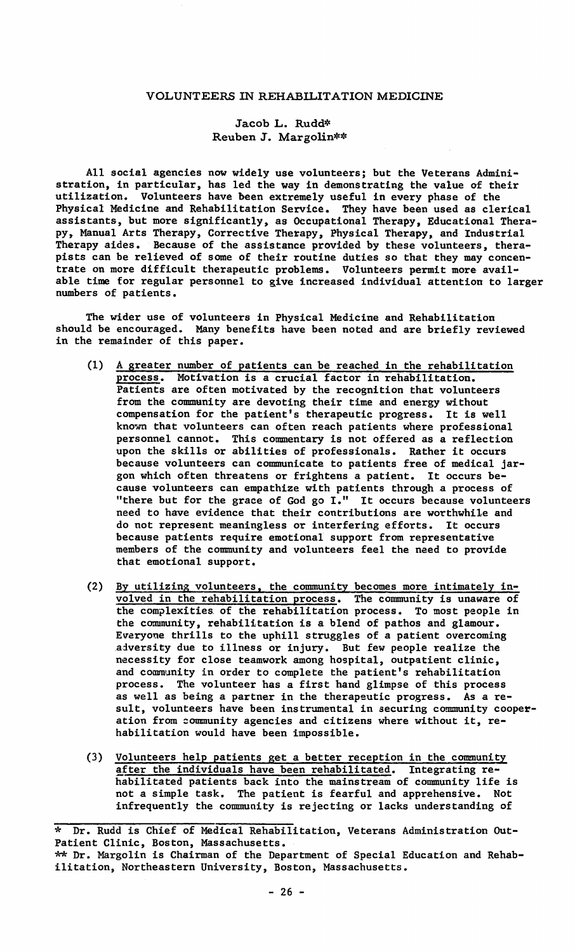# VOLUNTEERS IN REHABILITATION MEDICINE

# Jacob L, Rudd\* Reuben J. Margolin\*\*

All social agencies now widely use volunteers; but the Veterans Administration, in particular, has led the way in demonstrating the value of thei<br>utilization. Volunteers have been extremely useful in every phase of the Physical Medicine and Rehabilitation Service. They have been used as clerical assistants, but more significantly, as Occupational Therapy, Educational Therapy, Manual Arts Therapy, Corrective Therapy, Physical Therapy, and Industrial Therapy aides. Because of the assistance provided by these volunteers, therapists can be relieved of some of their routine duties so that they may concentrate on more difficult therapeutic problems. Volunteers permit more available time for regular personnel to give increased individual attention to larger numbers of patients.

The wider use of volunteers in Physical Medicine and Rehabilitation should be encouraged. Many benefits have been noted and are briefly reviewed in the remainder of this paper.

- (1) A greater number of patients can be reached in the rehabilitation process. Motivation is a crucial factor in rehabilitation. Patients are often motivated by the recognition that volunteers from the community are devoting their time and energy without compensation for the patient's therapeutic progress. It is well known that volunteers can often reach patients where professional personnel cannot. This commentary is not offered as a reflection<br>upon the skills or abilities of professionals. Rather it occurs because volunteers can communicate to patients free of medical jargon which often threatens or frightens a patient. It occurs because volunteers can empathize with patients through a process of "there but for the grace of God go I." It occurs because volunteers need to have evidence that their contributions are worthwhile and do not represent meaningless or interfering efforts. It occurs because patients require emotional support from representative members of the community and volunteers feel the need to provide that emotional support.
- (2) By utilizing volunteers, the community becomes more intimately involved in the rehabilitation process. The community is unaware of the complexities of the rehabilitation process. To most people in the community, rehabilitation is a blend of pathos and glamour. Everyone thrills to the uphill struggles of a patient overcoming aiversity due to illness or injury. But few people realize the necessity for close teamwork among hospital, outpatient clinic, and community in order to complete the patient's rehabilitation process, The volunteer has a first hand glimpse of this process as well as being a partner in the therapeutic progress. As a result, volunteers have been instrumental in securing community cooperation from community agencies and citizens where without it, rehabilitation would have been impossible,
- (3) Volunteers help patients get a better reception in the community after the individuals have been rehabilitated, Integrating rehabilitated patients back into the mainstream of community life is not a simple task. The patient is fearful and apprehensive. Not infrequently the community is rejecting or lacks understanding of

<sup>\*</sup> Dr. Rudd is Chief of Medical Rehabilitation, Veterans Administration Out-Patient Clinic, Boston, Massachusetts.

<sup>\*\*</sup> Dr. Margolin is Chairman of the Department of Special Education and Rehabilitation, Northeastern University, Boston, Massachusetts.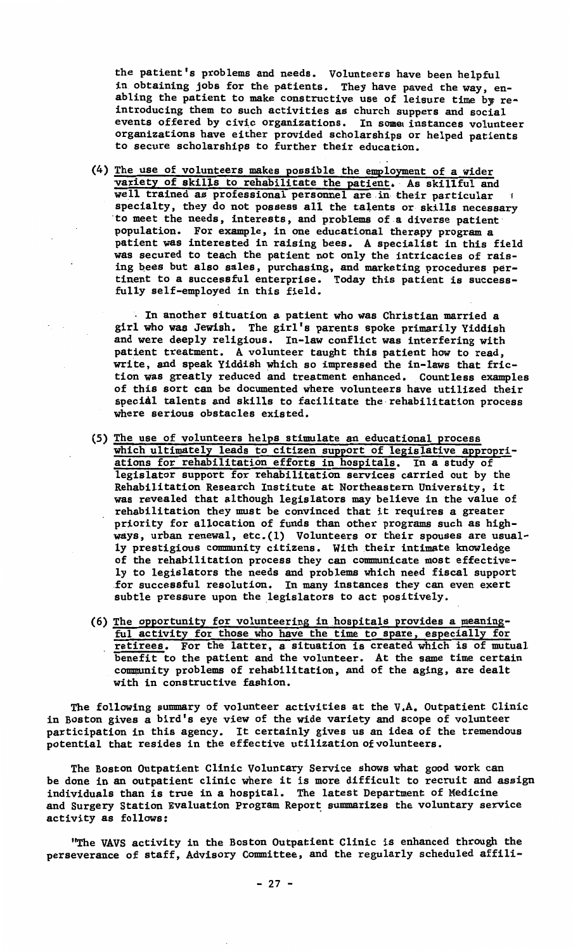the patient's problems and needs. Volunteers have been helpful in obtaining jobs for the patients. They have paved the way, enabling the patient to make constructive use of leisure time by reintroducing them to such activities **as** church suppers and social events offered by civic organizations. In some instances volunteer organizations have either provided scholarships or helped patient<br>to secure scholarships to further their education.

(4) The use of volunteers makes possible the employment of a wider variety of skills to rehabilitate the patient, As skillful and well trained as professional personnel are in their particular specialty, they do not possess all the talents or skills necessary ·to meet the needs, interests, and problems of.a diverse patient population. For example, in one educational therapy program **a**  patient was interested in raising bees. A specialist in this field was secured to teach the patient not only the intricacies of raising bees but also sales, purchasing, and marketing procedures pertinent to a successful enterprise. Today this patient is successfully self-employed in this field.

. In another situation a patient who was Christian married a girl who was Jewish. The girl's parents spoke primarily Yiddish and were deeply religious. In-law conflict was interfering with patient treatment. A volunteer taught this patient how to read, write, and speak Yiddish which so impressed the in-laws that friction was greatly reduced and treatment enhanced. Countless examples of this sort can be documented where volunteers have utilized their special talents and skills to facilitate the rehabilitation process where serious obstacles existed.

- (5) The use of volunteers helps stimulate an educational process which ultimately leads to citizen support of legislative appropri-<br>ations for rehabilitation efforts in hospitals. In a study of<br>legislator support for rehabilitation services carried out by the Rehabilitation Research Institute at Northeastern University, it was revealed that although legislators may believe in the value of rehabilitation they must be convinced that it requires a greater priority for allocation of funds than other programs such as highways, urban renewal, etc.(l) Volunteers or their spouses are usually prestigious community citizens. With their intimate knowledge of the rehabilitation process they can communicate most effectively to legislators the needs and problems which need fiscal support for successful resolution. In many instances they can even exert subtle pressure upon the legislators to act positively.
- (6) The opportunity for volunteering in hospitals provides a meaningful activity for those who have the time to spare, especially for retirees. For the latter, a situation is created which is of mutual benefit to the patient and the volunteer. At the same time certain community problems of rehabilitation, and of the aging, are dealt with in constructive fashion.

The following summary of volunteer activities at the V,A, Outpatient Clinic in Boston gives **a** bird's eye view of the wide variety and scope of volunteer participation in this agency. It certainly gives us an idea of the tremendous potential that resides in the effective utilization of volunteers.

The Boston Outpatient Clinic Voluntary Service shows what good work can be done in an outpatient clinic where it is more difficult to recruit and assign individuals than is true in a hospital. The latest Department of Medicine and Surgery Station Evaluation Program Report summarizes the voluntary service activity as follows:

"The VAVS activity in the Boston Outpatient Clinic is enhanced through the perseverance of staff, Advisory Committee, and the regularly scheduled affili-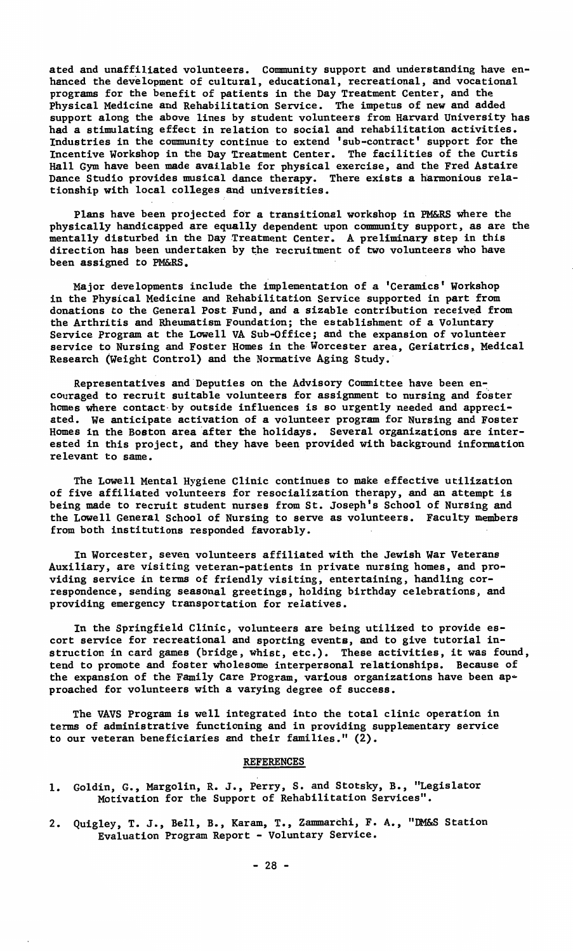ated and unaffiliated volunteers. Community support and understanding have en-hanced the development of cultural, educational, recreational, and vocational programs for the benefit of patients in the Day Treatment Center, and the Physical Medicine and Rehabilitation Service. The impetus of new and added support along the above lines by student volunteers from Harvard University has **had a** stimulating effect in relation to social and rehabilitation activities. Industries in the community continue to extend 'sub-contract' support for the Incentive Workshop in the Day Treatment Center. The facilities of the Curtis Hall Gym have been made available for physical exercise, and the Fred Astaire Dance Studio provides musical dance therapy. There exists a harmonious relationship with local colleges and universities.

Plans have been projected for **a** transitional workshop in PM&RS where the physically handicapped are equally dependent upon community support, as are the mentally disturbed in the Day Treatment Center. A preliminary step in this direction has been undertaken by the recruitment of two volunteers who have been assigned to PM&RS.

Major developments include the implementation of a 'Ceramics' Workshop in the Physical Medicine and Rehabilitation Service supported in part from donations to the General Post Fund, and a sizable contribution received from the Arthritis and Rheumatism Foundation; the establishment of a Voluntary Service Program at the Lowell VA Sub-Office; and the expansion of volunteer service to Nursing and Foster Homes in the Worcester area, Geriatrics, Medical Research (Weight Control) and the Normative Aging Study,

Representatives and Deputies on the Advisory Committee have been encouraged to recruit suitable volunteers for assignment to nursing and foster homes where contact-by outside influences is so urgently needed and appreciated. We anticipate activation of a volunteer program for Nursing and Foster Homes in the Boston area after the holidays. Several organizations are interested in this project, and they have been provided with background information relevant to same.

The Lowell Mental Hygiene Clinic continues to make effective utilization of five affiliated volunteers for resocialization therapy, and an attempt is being made to recruit student nurses from St. Joseph's School of Nursing and the Lowell General School of Nursing to serve as volunteers. Faculty members from both institutions responded favorably.

In Worcester, seven volunteers affiliated with the Jewish War Veterans Auxiliary, are visiting veteran-patients in private nursing homes, and providing service in terms of friendly visiting, entertaining, handling correspondence, sending seasonal greetings, holding birthday celebrations, and providing emergency transportation for relatives.

In the Springfield Clinic, volunteers are being utilized to provide escort service for recreational and sporting events, and to give tutorial instruction in card games (bridge, whist, etc.). These activities, it was found, tend to promote and foster wholesome interpersonal relationships. Because of the expansion of the Family Care Program, various organizations have been **ap•**  proached for volunteers with a varying degree of success.

The VAVS Program is well integrated into the total clinic operation in terms of administrative functioning and in providing supplementary service to our veteran beneficiaries and their families."  $(2)$ .

#### REFERENCES

- L Goldin, G., Margolin, R. J., Perry, S. and Stotsky, B., "Legislator Motivation for the Support of Rehabilitation Services".
- 2. Quigley, T. J., Bell, B., Karam, T., Zammarchi, F. A., "DM&S Station Evaluation Program Report - Voluntary Service.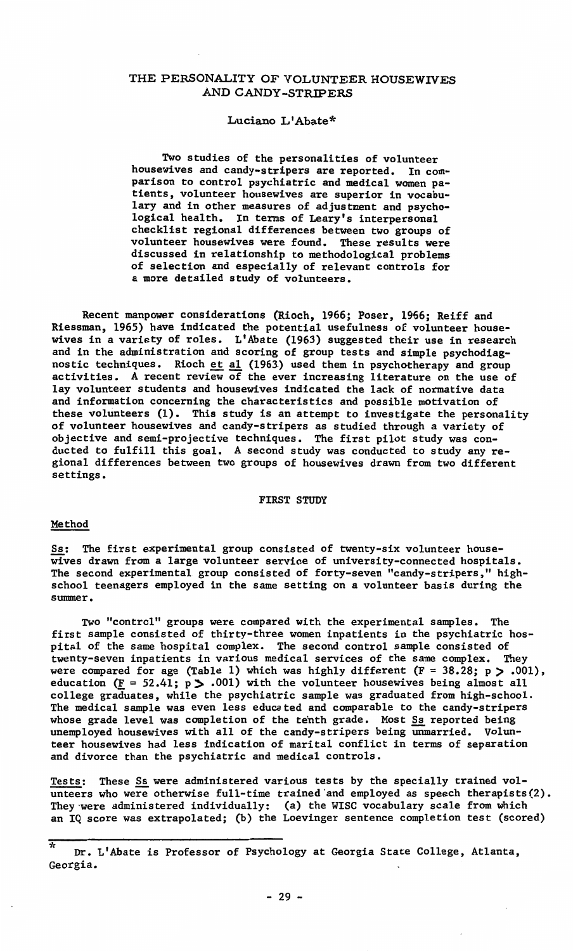# THE PERSONALITY OF VOLUNTEER HOUSEWIVES AND CANDY-STRIPERS

#### Luciano L'Abate\*

Two studies of the personalities of volunteer housewives and candy-stripers are reported. In comparison to control psychiatric and medical women patients, volunteer housewives are superior in vocabulary and in other measures of adjustment and psychological health. In terms of Leary's interpersonal checklist regional differences between two groups of volunteer housewives were found. These results were discussed in relationship to methodological problems of selection and especially of relevant controls for a more detailed study of volunteers.

Recent manpower considerations (Rioch, 1966; Poser, 1966; Reiff and Riessman, 1965) have indicated the potential usefulness of volunteer housewives in a variety of roles. L1Abate (1963) suggested their use in research and in the administration and scoring of group tests and simple psychodiagnostic techniques. Rioch <u>et al</u> (1963) used them in psychotherapy and group<br>activities. A recent review of the ever increasing literature on the use of lay volunteer students and housewives indicated the lack of normative data and information concerning the characteristics and possible motivation of these volunteers (1), This study is an attempt to investigate the personality of volunteer housewives and candy-stripers as studied through a variety of objective and semi-projective techniques. The first pilot study was conducted to fulfill this goal. A second study was conducted to study any regional differences between two groups of housewives drawn from two different settings.

#### FIRST STUDY

#### Method

Ss: The first experimental group consisted of twenty-six volunteer housewives drawn from a large volunteer service of university-connected hospitals. The second experimental group consisted of forty-seven "candy-stripers," highschool teenagers employed in the same setting on a volunteer basis during the summer.

Two "control" groups were compared with the experimental samples. The first sample consisted of thirty-three women inpatients in the psychiatric hospital of the same hospital complex. The second control sample consisted of twenty-seven inpatients in various medical services of the same complex. They were compared for age (Table 1) which was highly different  $(F = 38.28; p > .001)$ , education  $(F = 52.41; p > .001)$  with the volunteer housewives being almost all college graduates, while the psychiatric sample was graduated from high-school. The medical sample was even less educated and comparable to the candy-stripers whose grade level was completion of the tenth grade. Most Ss reported being unemployed housewives with all of the candy-stripers being unmarried, Volunteer housewives had less indication of marital conflict in terms of separation and divorce than the psychiatric and medical controls.

Tests: These Ss were administered various tests by the specially trained volunteers who were otherwise full-time trained and employed as speech therapists(2). They were administered individually: (a) the WISC vocabulary scale from which<br>an IQ score was extrapolated; (b) the Loevinger sentence completion test (scored)

Dr. L'Abate is Professor of Psychology at Georgia State College, Atlanta, Georgia.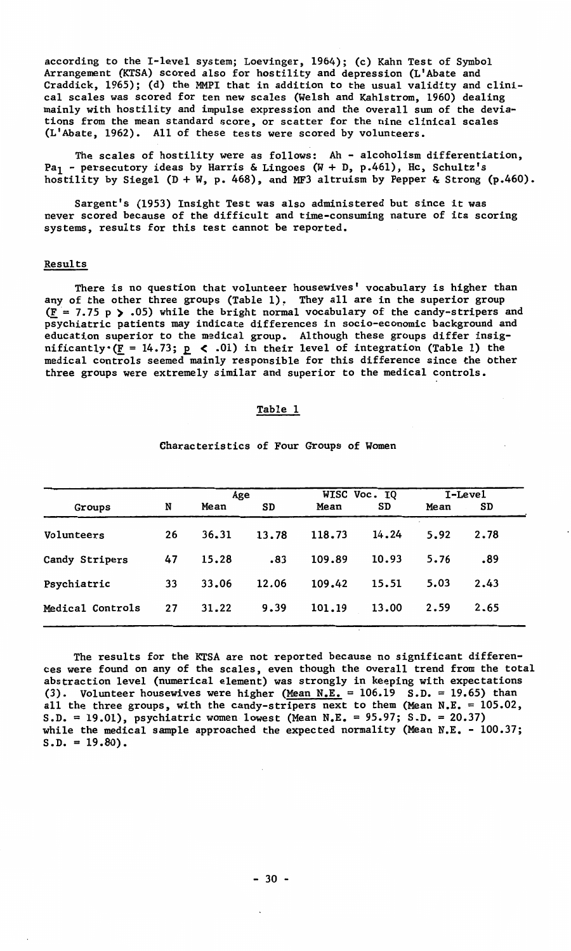according to the I-level system; Loevinger, 1964); (c) Kahn Test of Symbol Arrangement (KTSA) scored also for hostility and depression (L'Abate and Craddick, 1965); (d) the MMPI that in addition to the usual validity and clinical scales was scored for ten new scales (Welsh and Kahlstrom, 1960) dealing mainly with hostility and impulse expression and the overall sum of the deviations from the mean standard score, or scatter for the nine clinical scales (L'Abate, 1962). All of these tests were scored by volunteers.

The scales of hostility were as follows: Ah - alcoholism differentiation, Pa<sub>1</sub> - persecutory ideas by Harris & Lingoes (W + D, p.461), Hc, Schultz's hostility by Siegel  $(D + W, p. 468)$ , and MF3 altruism by Pepper & Strong  $(p.460)$ .

Sargent's (1953) Insight Test was also administered but since it was never scored because of the difficult and time-consuming nature of its scoring systems, results for this test cannot be reported.

#### Results

There is no question that volunteer housewives' vocabulary is higher than any of the other three groups (Table 1), They all are in the superior group  $(F = 7.75 p$  .05) while the bright normal vocabulary of the candy-stripers and psychiatric patients may indicate differences in socio-economic background and education superior to the medical group. Although these groups differ insignificantly  $(\underline{F} = 14.73; \underline{p} \le .01)$  in their level of integration (Table 1) the medical controls seemed mainly responsible for this difference since the other three groups were extremely similar and superior to the medical controls.

#### Table 1

|                  |    |       | Age   | WISC Voc. IQ |       |      | I-Level |
|------------------|----|-------|-------|--------------|-------|------|---------|
| Groups           | N  | Mean  | SD    | Mean         | SD    | Mean | SD      |
| Volunteers       | 26 | 36.31 | 13.78 | 118.73       | 14.24 | 5.92 | 2.78    |
| Candy Stripers   | 47 | 15.28 | .83   | 109.89       | 10.93 | 5.76 | -89     |
| Psychiatric      | 33 | 33.06 | 12.06 | 109.42       | 15.51 | 5.03 | 2.43    |
| Medical Controls | 27 | 31.22 | 9.39  | 101.19       | 13.00 | 2.59 | 2.65    |

Characteristics of Four Groups of Women

The results for the KTSA are not reported because no significant differences were found on any of the scales, even though the overall trend from the total abstraction level (numerical element) was strongly in keeping with expectations (3). Volunteer housewives were higher  $(Mean N.E. = 106.19 S.D. = 19.65)$  than all the three groups, with the candy-stripers next to them (Mean N.E. =  $105.02$ , S.D. = 19.01), psychiatric women lowest (Mean N.E. = 95.97; S.D. = 20.37) while the medical sample approached the expected normality (Mean N.E. - 100.37;  $S.D. = 19.80$ .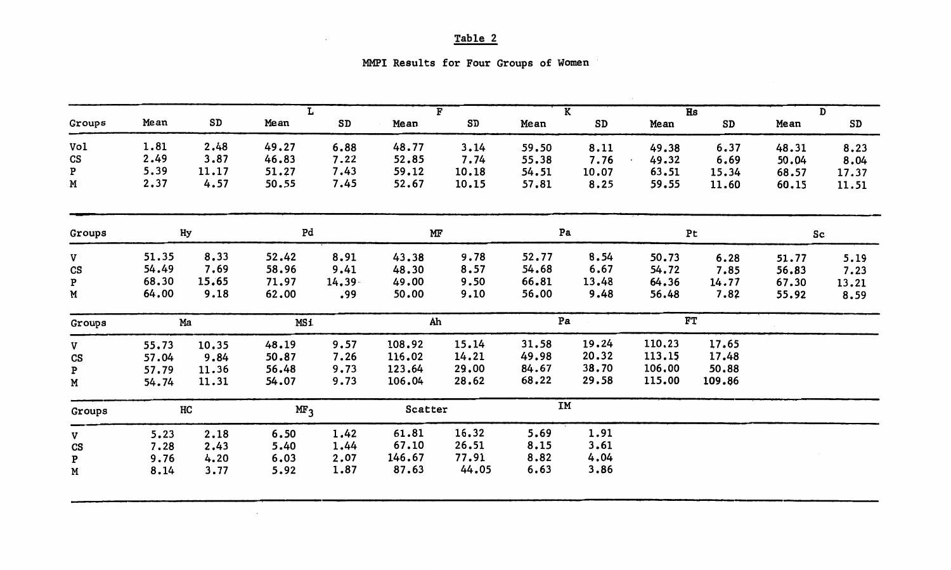# Table 2

| MMPI Results for Four Groups of Women |  |  |  |
|---------------------------------------|--|--|--|
|                                       |  |  |  |

|                        |       |       | r               |           |         | $\overline{F}$ |       | $\overline{\mathbf{K}}$ | $\overline{\text{Hs}}$ |        |       | $\overline{D}$ |
|------------------------|-------|-------|-----------------|-----------|---------|----------------|-------|-------------------------|------------------------|--------|-------|----------------|
| Groups                 | Mean  | SD    | Mean            | SD        | Mean    | SD             | Mean  | SD                      | Mean                   | SD     | Mean  | SD             |
| Vol                    | 1.81  | 2.48  | 49.27           | 6.88      | 48.77   | 3.14           | 59.50 | 8.11                    | 49.38                  | 6.37   | 48.31 | 8.23           |
| CS                     | 2.49  | 3.87  | 46.83           | 7.22      | 52.85   | 7.74           | 55.38 | 7.76                    | 49.32                  | 6.69   | 50.04 | 8.04           |
| P                      | 5.39  | 11.17 | 51.27           | 7.43      | 59.12   | 10.18          | 54.51 | 10.07                   | 63.51                  | 15.34  | 68.57 | 17.37          |
| M                      | 2.37  | 4.57  | 50.55           | 7.45      | 52.67   | 10.15          | 57.81 | 8.25                    | 59.55                  | 11.60  | 60.15 | 11.51          |
| Groups                 |       | Hy    | Pd              |           | MF      |                | Pa    |                         |                        | Pt     | Sc    |                |
| V                      | 51.35 | 8.33  | 52.42           | 8.91      | 43.38   | 9.78           | 52.77 | 8.54                    | 50.73                  | 6.28   | 51.77 | 5.19           |
| $\mathbf{c}\mathbf{s}$ | 54.49 | 7.69  | 58.96           | 9.41      | 48.30   | 8.57           | 54.68 | 6.67                    | 54.72                  | 7.85   | 56.83 | 7.23           |
| P                      | 68.30 | 15.65 | 71.97           | $14.39 -$ | 49.00   | 9.50           | 66.81 | 13.48                   | 64.36                  | 14.77  | 67.30 | 13.21          |
| M                      | 64.00 | 9.18  | 62.00           | .99       | 50.00   | 9.10           | 56.00 | 9.48                    | 56.48                  | 7.82   | 55.92 | 8.59           |
| Groups                 |       | Ma    | <b>MSi</b>      |           | Ah      |                | Pa    |                         | FT                     |        |       |                |
| V                      | 55.73 | 10.35 | 48.19           | 9.57      | 108.92  | 15.14          | 31.58 | 19.24                   | 110.23                 | 17.65  |       |                |
| CS                     | 57.04 | 9.84  | 50.87           | 7.26      | 116.02  | 14.21          | 49.98 | 20.32                   | 113.15                 | 17.48  |       |                |
| P                      | 57.79 | 11.36 | 56.48           | 9.73      | 123.64  | 29.00          | 84.67 | 38.70                   | 106,00                 | 50.88  |       |                |
| М                      | 54.74 | 11.31 | 54.07           | 9.73      | 106.04  | 28.62          | 68.22 | 29.58                   | 115.00                 | 109.86 |       |                |
| Groups                 |       | нc    | MF <sub>3</sub> |           | Scatter |                | IM    |                         |                        |        |       |                |
| V                      | 5.23  | 2.18  | 6.50            | 1.42      | 61.81   | 16.32          | 5.69  | 1.91                    |                        |        |       |                |
| CS                     | 7.28  | 2.43  | 5.40            | 1.44      | 67.10   | 26.51          | 8.15  | 3.61                    |                        |        |       |                |
| P                      | 9.76  | 4.20  | 6.03            | 2.07      | 146.67  | 77.91          | 8.82  | 4.04                    |                        |        |       |                |
| М                      | 8.14  | 3.77  | 5.92            | 1.87      | 87.63   | 44.05          | 6.63  | 3,86                    |                        |        |       |                |
|                        |       |       |                 |           |         |                |       |                         |                        |        |       |                |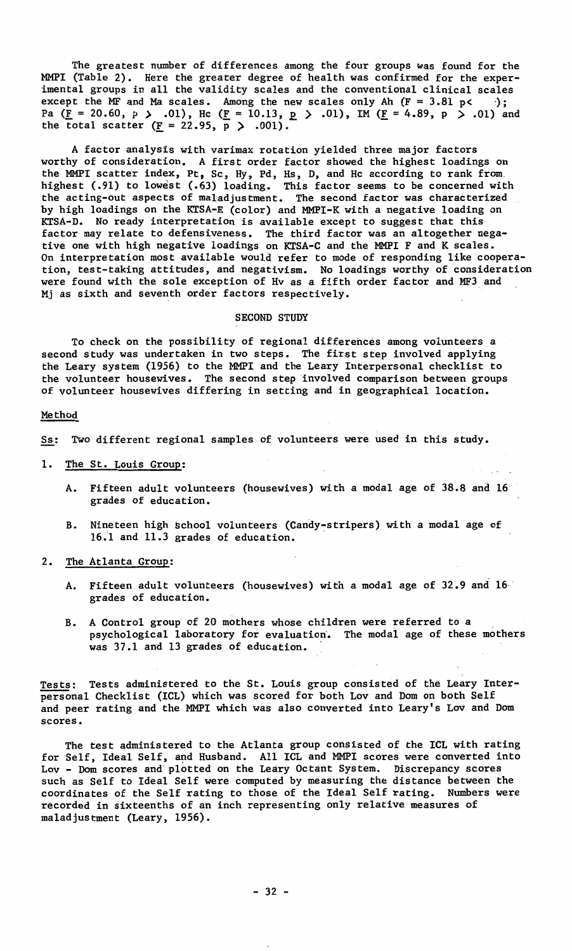The greatest number of differences among the four groups was found for the MMPI (Table 2). Here the greater degree of health was confirmed for the experimental groups in all the validity scales and the conventional clinical scales except the MF and Ma scales. Among the new scales only Ah  $(F = 3.81 \text{ p} \leftarrow )$ ; Pa (F = 20.60, p > .01), He (F = 10.13, p > .01), IM (F = 4.89, p > .01) and the total scatter (F = 22.95, p > .001).

A factor analysis with varimax rotation yielded three major factors worthy of consideration. A first order factor showed the highest loadings on<br>the MMPI scatter index, Pt, Sc, Hy, Pd, Hs, D, and Hc according to rank from<br>highest (.91) to lowest (.63) loading. This factor seems to be conce the acting-out aspects of maladjustment. The second factor was characterized by high loadings on the KTSA-E (color) and MMPI-K with a negative loading on KTSA-D. No ready interpretation is available except to suggest that this factor may relate to defensiveness. The third factor was an altogether negative one with high negative loadings on KTSA-C and the **MMPI F** and K scales. On interpretation most available would refer to mode of responding like cooperation, test-taking attitudes, and negativism. No loadings worthy of consideration were found with the sole exception of Hv as a fifth order factor and MF3 and Mj as sixth and seventh order factors respectively.

### SECOND STUDY

To check on the possibility of regional differences among volunteers a second study was undertaken in two steps. The first step involved applying the Leary system (1956) to the MMPI and the Leary Interpersonal checklist to the volunteer housewives. The second step involved comparison between groups of volunteer housewives differing in setting and in geographical location.

# Method

Ss: Two different regional samples of volunteers were used in this study.

- 1. The St. Louis Group:
	- A. Fifteen adult volunteers (housewives) with a modal age of 38.8 and 16 grades of education.
	- B. Nineteen high school volunteers (Candy-stripers) with a modal age of 16.1 and 11.3 grades of education.
- 2. The Atlanta Group:
	- A. Fifteen adult volunteers (housewives) with a modal age of 32.9 and 16 grades of education.
	- B. A Control group of 20 mothers whose children were referred to a psychological laboratory for evaluation. The modal age of these mothers was 37.1 and 13 grades of education.

Tests: Tests administered to the St. Louis group consisted of the Leary Interpersonal Checklist (ICL) which was scored for both Lov and Dom on both Self and peer rating and the MMPI which was also converted into Leary's Lov and Dom **scores.** 

The test administered to the Atlanta group consisted of the ICL with rating for Self, Ideal Self, and Husband. All ICL and MMPI scores were converted into<br>Lov - Dom scores and plotted on the Leary Octant System. Discrepancy scores<br>such as Self to Ideal Self were computed by measuring the distance recorded in sixteenths of an inch representing only relative measures of maladjustment (Leary, 1956).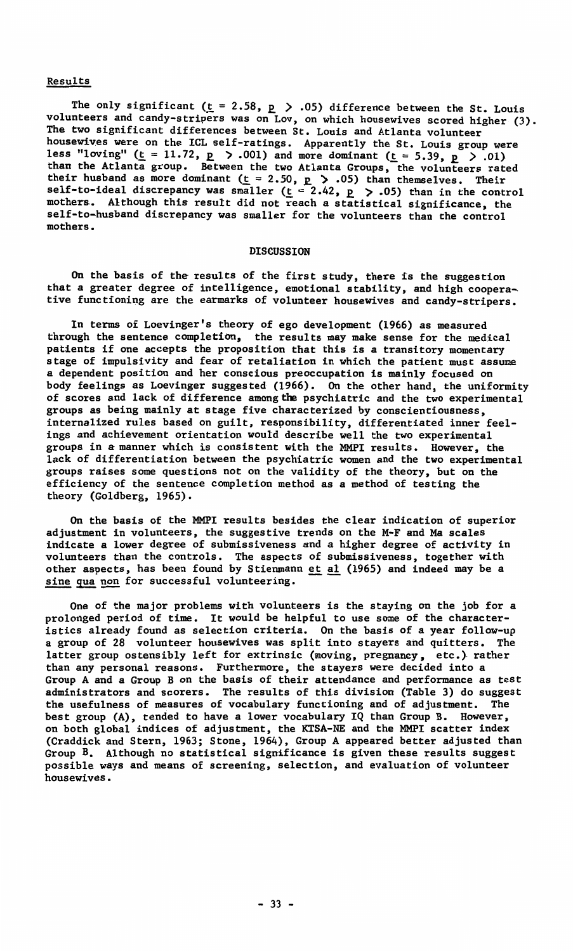### Results

The only significant  $(\underline{t} = 2.58, \underline{p} > .05)$  difference between the St. Louis volunteers and candy-stripers was on Lov, on which housewives scored higher (3). The two significant differences between St. Louis and Atlanta volunteer housewives were on the ICL self-ratings. Apparently the St. Louis group were less "loving" ( $\underline{t} = 11.72$ ,  $\underline{p} > .001$ ) and more dominant ( $\underline{t} = 5.39$ ,  $\underline{p} > .01$ ) than the Atlanta group. Between the two Atlanta Groups, the volunteers rated their husband as more dominant (t = 2.50, p  $>$  .05) than themselves. Their<br>self-to-ideal discrepancy was smaller (t = 2.42, p  $>$  .05) than in the control mothers. Although this result did not reach a statistical significance, the self-to-husband discrepancy was smaller for the volunteers than the control mothers.

#### DISCUSSION

On the basis of the results of the first study, there is the suggestion that a greater degree of intelligence, emotional stability, and high cooperative functioning are the earmarks of volunteer housewives and candy-stripers.

In terms of Loevinger's theory of ego development (1966) as measured through the sentence completion, the results may make sense for the medical patients if one accepts the proposition that this is a transitory momentary stage of impulsivity and fear of retaliation in which the patient must assume a dependent position and her conscious preoccupation is mainly focused on body feelings as Loevinger suggested (1966). On the other hand, the uniformity of scores and lack of difference among the psychiatric and the two experimental groups as being mainly at stage five characterized by conscientiousness, internalized rules based on guilt, responsibility, differentiated inner feelings and achievement orientation would describe well the two experimental groups in a manner which is consistent with the MMPI results. However, the lack of differentiation between the psychiatric women and the two experimental groups raises some questions not on the validity of the theory, but on the efficiency of the sentence completion method as a method of testing the theory (Goldberg, 1965).

On the basis of the MMPI results besides the clear indication of superior adjustment in volunteers, the suggestive trends on the M-F and Ma scales indicate a lower degree of submissiveness and a higher degree of activity in volunteers than the controls. The aspects of submissiveness, together with other aspects, has been found by Stienmann <u>et al</u> (1965) and indeed may be a sine qua non for successful volunteering.

One of the major problems with volunteers is the staying on the job for a prolonged period of time. It would be helpful to use some of the characteristics already found as selection criteria. On the basis of a year follow-up a group of 28 volunteer housewives was split into stayers and quitters. The latter group ostensibly left for extrinsic (moving, pregnancy, etc.) rather than any personal reasons. Furthermore, the stayers were decided into a Group A and a Group Bon the basis of their attendance and performance as test administrators and scorers. The results of this division (Table 3) do suggest the usefulness of measures of vocabulary functioning and of adjustment. The best group (A), tended to have a lower vocabulary IQ than Group B. However,<br>on both global indices of adjustment, the KTSA-NE and the MMPI scatter index<br>(Craddick and Stern, 1963; Stone, 1964), Group A appeared better adju possible ways and means of screening, selection, and evaluation of volunteer **housewives.**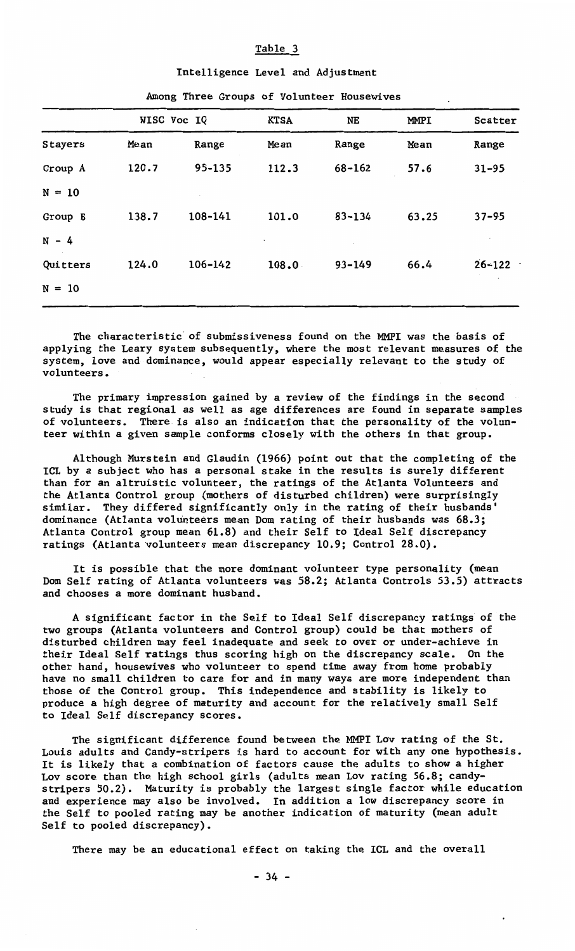# Table 3

# In te 11 igence Level and Adjustment

|          |       | WISC Voc IQ | <b>KTSA</b> | NE         | <b>MMPI</b> | Scatter    |
|----------|-------|-------------|-------------|------------|-------------|------------|
| Stayers  | Mean  | Range       | Mean        | Range      | Mean        | Range      |
| Group A  | 120.7 | 95-135      | 112.3       | 68-162     | 57.6        | $31 - 95$  |
| $N = 10$ |       |             |             |            |             |            |
| Group B  | 138.7 | 108-141     | 101.0       | 83-134     | 63.25       | $37 - 95$  |
| $N - 4$  |       |             |             |            |             |            |
| Quitters | 124.0 | 106-142     | 108.0       | $93 - 149$ | 66.4        | $26 - 122$ |
| $N = 10$ |       |             |             |            |             |            |
|          |       |             |             |            |             |            |

#### Among Three Groups of Volunteer **Housewives**

The characteristic· of submissiveness found on the MMPI was the basis of applying the Leary system subsequently, where the most relevant measures of the system, love and dominance, would appear especially relevant to the study of volunteers.

The primary impression gained by a review of the findings in the second study is that regional as well as age differences are found in separate samples of volunteers. There is also an indication that the personality of the volunteer within a given sample conforms closely with the others in that group.

Although Murstein and Glaudin (1966) point out that the completing of the ICL by a subject who has a personal stake in the results is surely different than for an altruistic volunteer, the ratings of the Atlanta Volunteers and the Atlanta Control group (mothers of disturbed children) were surprisingly similar. They differed significantly only in the rating of their husbands' dominance (Atlanta volunteers mean Dom rating of their husbands was 68.3; Atlanta Control group mean 61.8) and their Self to Ideal Self discrepancy ratings (Atlanta volunteers mean discrepancy 10.9; Control 28.0).

It is possible that the more dominant volunteer type personality (mean Dom Self rating of Atlanta volunteers was 58.2; Atlanta Controls 53.5) attracts and chooses a more dominant husband.

**A** significant factor in the Self to Ideal Self discrepancy ratings of the two groups (Atlanta volunteers and Control group) could be that mothers of disturbed children may feel inadequate and seek to over or under-achieve in their Ideal Self ratings thus scoring high on the discrepancy scale. On the other hand, housewives who volunteer to spend time away from home probably have no small children to care for and in many ways are more independent than those of the Control group. This independence and stability is likely to produce a high degree of maturity and account for the relatively small Self to Ideal Self discrepancy scores.

The significant difference found between the MMPI Lov rating of the St. Louis adults and Candy-stripers is hard to account for with any one hypothesis. It is likely that a combination of factors cause the adults to show a higher Lov score than the high school girls (adults mean Lov rating 56.8; candystripers 50.2). Maturity is probably the largest single factor while education and experience may also be involved. In addition a low discrepancy score in the Self to pooled rating may be another indication of maturity (mean adult Self to pooled discrepancy).

There may be an educational effect on taking the ICL and the overall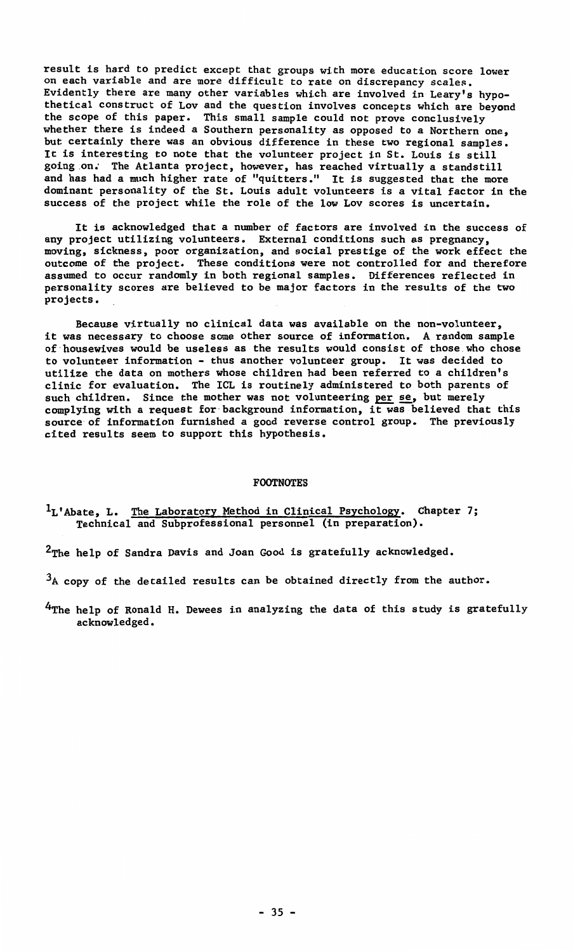result is hard to predict except that groups with more education score lower on each variable and are more difficult to rate on discrepancy scales. Evidently there are many other variables which are involved in Leary's hypothetical construct of Lov and the question involves concepts which are beyond the scope of this paper. This small sample could not prove conclusively whether there is indeed a Southern personality as opposed to a Northern one, but certainly there was an obvious difference in these two regional samples. It is interesting to note that the volunteer project in St. Louis is still going on. The Atlanta project, however, has reached virtually a standstill and has had a much higher rate of "quitters." It is suggested that the more dominant personality of the St. Louis adult volunteers is a vital factor in the success of the project while the role of the low Lov scores is uncertain.

It is acknowledged that a number of factors are involved in the success of any project utilizing volunteers. External conditions such as pregnancy, moving, sickness, poor organization, and social prestige of the work effect the outcome of the project. These conditions were not controlled for and therefore assumed to occur randomly in both regional samples. Differences reflected in personality scores are believed to be major factors in the results of the two projects.

Because virtually no clinical data was available on the non-volunteer, it was necessary to choose some other source of information. A random sample of housewives would be useless as the results would consist of those.who chose to volunteer information - thus another volunteer group. It was decided to utilize the data on mothers whose children had been referred to a children's clinic for evaluation. The ICL is routinely administered to both parents of such children. Since the mother was not volunteering per se, but merely complying with a request for·background information, it was believed that this source of information furnished a good reverse control group. The previously cited results seem to support this hypothesis.

# FOOTNOTES

<sup>1</sup>L'Abate, L. The Laboratory Method in Clinical Psychology. Chapter 7;<br>Technical and Subprofessional personnel (in preparation).

<sup>2</sup>The help of Sandra Davis and Joan Good is gratefully acknowledged.

 $3_A$  copy of the detailed results can be obtained directly from the author.

4The help of Ronald H. Dewees in analyzing the data of this study is gratefully acknowledged.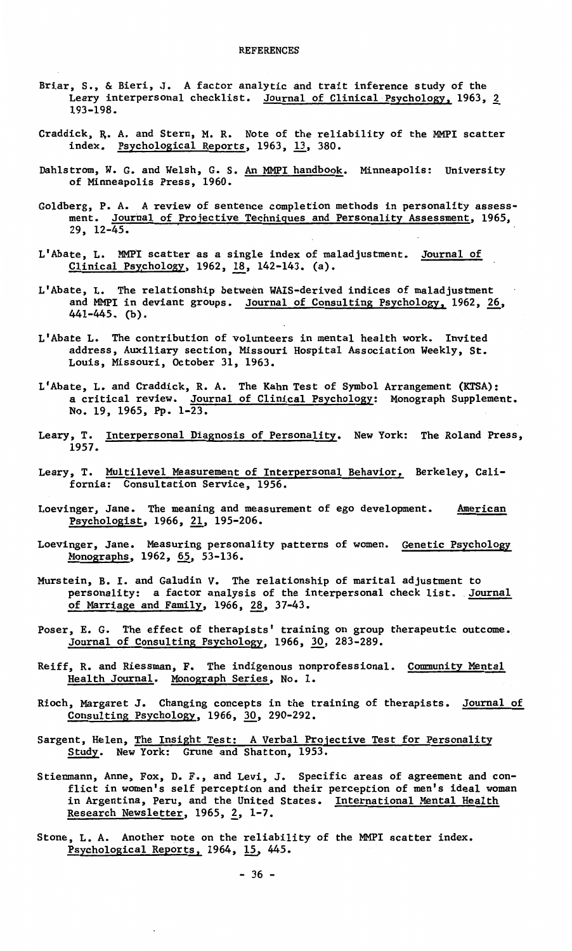- Briar, S., & Bieri, J. A factor analytic and trait inference study of the Leary interpersonal checklist. Journal of Clinical Psychology, 1963, 2 193-198.
- Craddick, R. A. and Stern, M. R. Note of the reliability of the MMPI scatte<br>index. Psychological Reports, 1963, 13, 380.
- Dahlstrom, W. G. and Welsh, G. S. An MMPI handbook. Minneapolis: University of Minneapolis Press, 1960.
- Goldberg, P.A. A review of sentence completion methods in personality assessment. Journal of Projective Techniques and Personality Assessment, 1965, 29, 12-45.
- L'Abate, L. MMPI scatter as a single index of maladjustment. Journal of Clinical Psychology, 1962, 18, 142-143. (a).
- L'Abate, L. The relationship between WAIS-derived indices of maladjustment and MMPI in deviant groups. Journal of Consulting Psychology, 1962, 26, 441-445. (b).
- L'Abate L. The contribution of volunteers in mental health work. Invited address, Auxiliary section, Missouri Hospital Association Weekly, St. Louis, Missouri, October 31, 1963.
- L'Abate, L. and Craddick, R. A. The Kahn Test of Symbol Arrangement (KTSA):<br>a critical review. <u>Journal of Clinical Psychology</u>: Monograph Supplement No. 19, 1965, Pp. 1-23.
- Leary, T. Interpersonal Diagnosis of Personality. New York: The Roland Press, 1957.
- Leary, T. Multilevel Measurement of Interpersonal Behavior, Berkeley, California: Consultation Service, 1956.
- Loevinger, Jane. The meaning and measurement of ego development. **American**  Psychologist, 1966, 21, 195-206.
- Loevinger, Jane. Measuring personality patterns of women. Genetic Psychology Monographs, 1962, 65, 53-136.
- Murstein, B. I. and Galudin *v.* The relationship of marital adjustment to personality: a factor analysis of the interpersonal check list. Journal of Marriage and Family, 1966, 28, 37-43.
- Poser, E. G. The effect of therapists' training on group therapeutic outcome. Journal of Consulting Psychology. 1966, 30, 283-289.
- Reiff, R. and Riessman, F. The indigenous nonprofessional. Community Mental Health Journal. Monograph Series, No. 1.
- Rioch, Margaret J. Changing concepts in the training of therapists. Journal of Consulting Psychology, 1966, 30, 290-292.
- Sargent, Helen, The Insight Test: A Verbal Projective Test for Personality Study. New York: Grune and Shatton, 1953.
- Stienmann, Anne, Fox, D, F., and Levi, J. Specific areas of agreement and conflict in women's self perception and their perception of men's ideal woman in Argentina, Peru, and the United States. International Mental Health Research Newsletter, 1965, 2, 1-7.
- Stone, L. A. Another note on the reliability of the MMPI scatter index. Psychological Reports, 1964, 15, 445.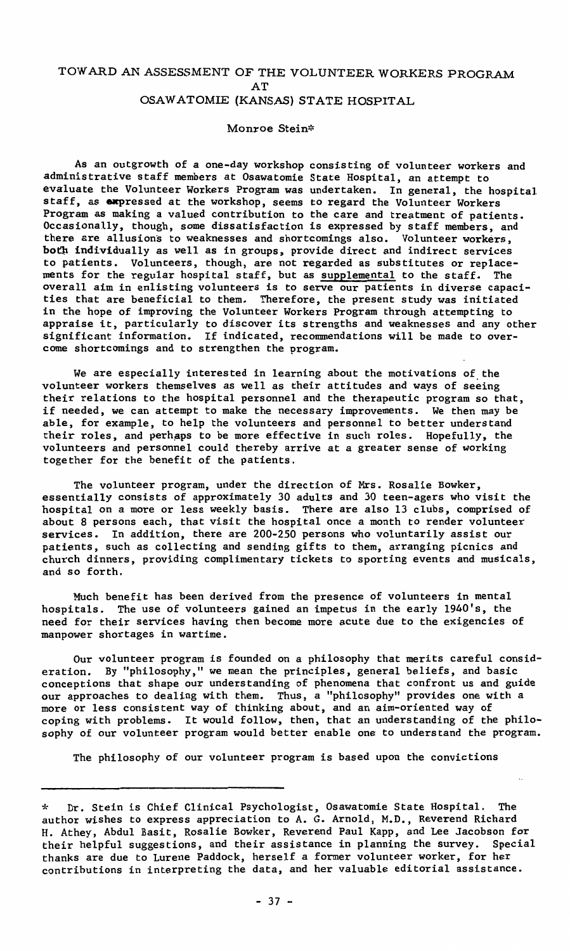# TOW ARD AN ASSESSMENT OF THE VOLUNTEER WORKERS PROGRAM AT OSAWATOMIE (KANSAS) STATE HOSPITAL

#### Monroe Stein\*

As an outgrowth of a one-day workshop consisting of volunteer workers and administrative staff members at Osawatomie State Hospital, an attempt to evaluate the Volunteer Workers Program was undertaken, In general, the hospital staff, as expressed at the workshop, seems to regard the Volunteer Workers Program as making a valued contribution to the care and treatment of patients. Occasionally, though, some dissatisfaction is expressed by staff members, and there are allusions to weaknesses and shortcomings also. Volunteer **workers,**  both individually as well as in groups, provide direct and indirect services to patients. Volunteers, though, are not regarded as substitutes or replacements for the regular hospital staff, but as supplemental to the staff. The overall aim in enlisting volunteers is to serve our patients in diverse capaci<br>ties that are beneficial to them. Therefore, the present study was initiated in the hope of improving the Volunteer Workers Program through attempting to appraise it, particularly to discover its strengths and weaknesses and any other significant information. If indicated, recommendations will be made to overcome shortcomings and to strengthen the program.

We are especially interested in learning about the motivations of the volunteer workers themselves as well as their attitudes and ways of seeing their relations to the hospital personnel and the therapeutic program so that, if needed, we can attempt to make the necessary improvements. We then may be able, for example, to help the volunteers and personnel to better understand their roles, and perhaps to be more effective in such roles. Hopefully, the volunteers and personnel could thereby arrive at a greater sense of working together for the benefit of the patients.

The volunteer program, under the direction of Mrs. Rosalie Bowker, essentially consists of approximately 30 adults and 30 teen-agers who visit the hospital on a more or less weekly basis. There are also 13 clubs, comprised of about 8 persons each, that visit the hospital once a month to render volunteer services. In addition, there are 200-250 persons who voluntarily assist our patients, such as collecting and sending gifts to them, arranging picnics and church dinners, providing complimentary tickets to sporting events and musicals, and so forth.

Much benefit has been derived from the presence of volunteers in mental hospitals. The use of volunteers gained an impetus in the early 1940's, the need for their services having then become more acute due to the exigencies of **manpower shortages in wartime.** 

Our volunteer program is founded on a philosophy that merits careful consideration. By "philosophy," we mean the principles, general beliefs, and basic conceptions that shape our understanding of phenomena that confront us and guide our approaches to dealing with them. Thus, a "philosophy" provides one with a more or less consistent way of thinking about, and an aim-oriented way of coping with problems. It would follow, then, that an understanding of the philosophy of our volunteer program would better enable one to understand the program.

The philosophy of our volunteer program is based upon the convictions

<sup>\*</sup> Dr. Stein is Chief Clinical Psychologist, Osawatomie State Hospital. The author wishes to express appreciation to A.G. Arnold, M.D., Reverend Richard H. Athey, Abdul Basit, Rosalie Bowker, Reverend Paul Kapp, and Lee Jacobson for their helpful suggestions, and their assistance in planning the survey. thanks are due to Lurene Paddock, herself a former volunteer worker, for her contributions in interpreting the data, and her valuable editorial assistance.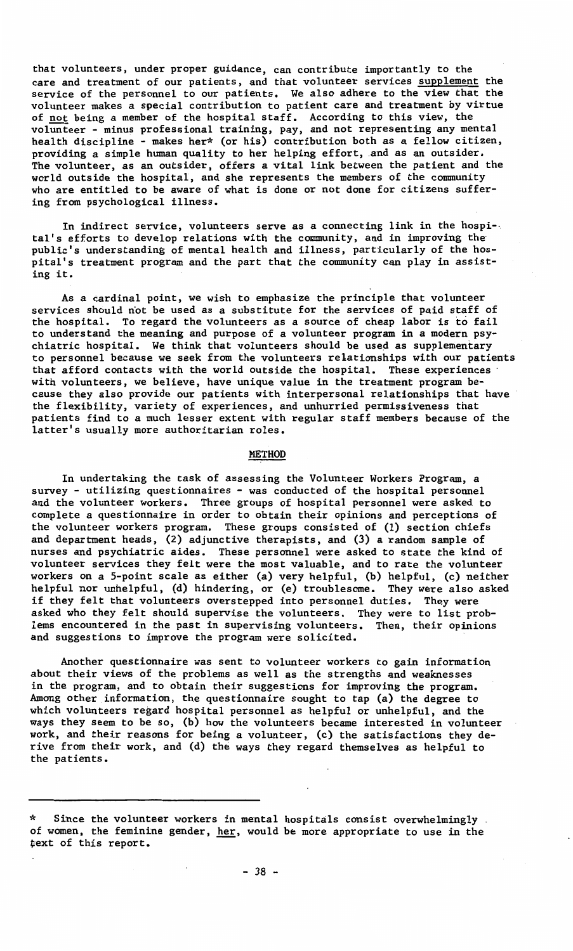**that volunteers, under proper guidance, can contribute importantly to the care and treatment of our patients, and that volunteer services supplement the**  service of the personnel to our patients. We also adhere to the view that the volunteer makes a special contribution to patient care and treatment by virtue of <u>not</u> being a member of the hospital staff. According to this view, the **volunteer - minus professional training, pay, and not representing any mental**  health discipline - makes her\* (or his) contribution both as a fellow citizen, providing a simple human quality to her helping effort, and as an outsider. The volunteer, as an outsider, offers a vital link between the patient and the world outside the hospital, and she represents the members of the community who are entitled to be aware of what is done or not done for citizens suffering from psychological illness.

In indirect service, volunteers serve as a connecting link in the hospi-· tal's efforts to develop relations with the community, and in improving the public's understanding of mental health and illness, particularly of the hospital's treatment program and the part that the community can play in assisting it.

As a cardinal point, we wish to emphasize the principle that volunteer services should not be used as a substitute for the services of paid staff of the hospital. To regard the volunteers as a source of cheap labor is to fail to understand the meaning and purpose of a volunteer program in a modern psychiatric hospital. We think that volunteers should be used as supplementary to personnel because we seek from the volunteers relationships with our patients that afford contacts with the world outside the hospital. These experiences with volunteers, we believe, have unique value in the treatment program because they also provide our patients with interpersonal relationships that have the flexibility, variety of experiences, and unhurried permissiveness that patients find to a much lesser extent with regular staff members because of the latter's usually more authoritarian roles.

# **METHOD**

In undertaking the task of assessing the Volunteer Workers Program, a survey - utilizing questionnaires - was conducted of the hospital personnel and the volunteer workers. Three groups of hospital personnel were asked to complete a questionnaire in order to obtain their opinions and perceptions of the volunteer workers program. These groups consisted of (1) section chiefs and department heads, (2) adjunctive therapists, and (3) a random sample of nurses and psychiatric aides. These personnel were asked to state the kind of volunteer services they felt were the most valuable, and to rate the volunteer workers on a 5-point scale as either (a) very helpful, (b) helpful, (c) neither helpful nor unhelpful, (d) hindering, or (e) troublesome. They were also asked if they felt that volunteers overstepped into personnel duties. They were asked who they felt should supervise the volunteers. They were to list problems encountered in the past in supervising volunteers. Then, their opinions and suggestions to improve the program were solicited.

Another questionnaire was sent to volunteer workers to gain information about their views of the problems as well as the strengths and weaknesses in the program, and to obtain their suggestions for improving the program. Among other information, the questionnaire sought to tap (a) the degree to which volunteers regard hospital personnel as helpful or unhelpful, and the ways they seem to be so, (b) how the volunteers became interested in volunteer work, and their reasons for being a volunteer, (c) the satisfactions they derive from their work, and (d) the ways they regard themselves as helpful to the patients.

Since the volunteer workers in mental hospitals consist overwhelmingly. of women, the feminine gender, her, would **be** more appropriate to use in the text of this report.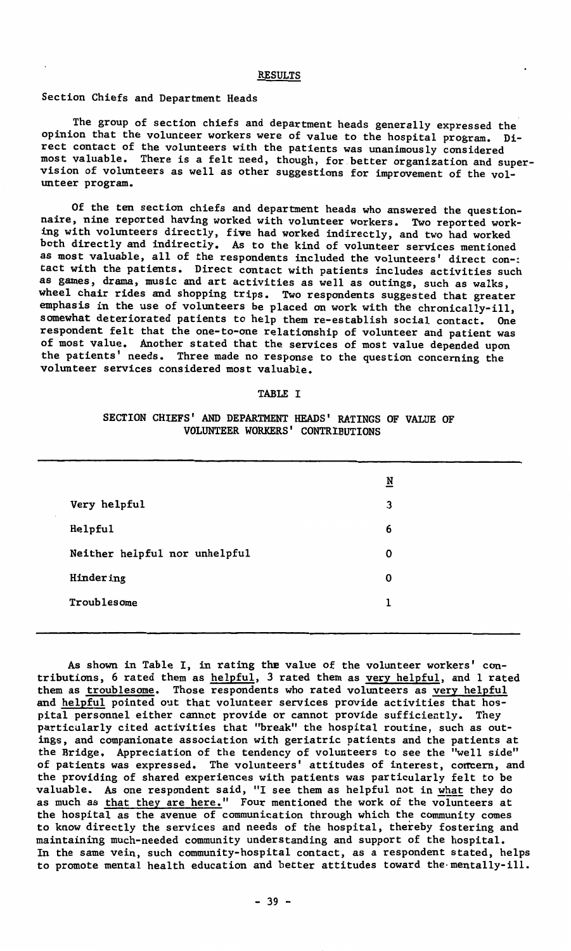#### RESULTS

# Section Chiefs and Department Heads

The group of section chiefs and department heads generally expressed the opinion that the volunteer workers were of value to the hospital program. Direct contact of the volunteers with the patients was unanimously considered most valuable. There is a felt need, though, for better organization and supervision of volunteers as well as other suggestions for improvement of the volunteer program.

Of the ten section chiefs and department heads who answered the questionnaire, nine reported having worked with volunteer workers. Two reported working with volunteers directly, five had worked indirectly, and two had worked both directly and indirectly. As to the kind of volunteer services mentioned as most valuable, all of the respondents included the volunteers' direct con-: tact with the patients. Direct contact with patients includes activities such as games, drama, music and art activities as well as outings, such as walks, wheel chair rides and shopping trips. Two respondents suggested that greater emphasis in the use of volunteers be placed on work with the chronically-ill, somewhat deteriorated patients to help them re-establish social contact. One respondent felt that the one-to-one relationship of volunteer and patient was of most value. Another stated that the services of most value depended upon the patients' needs. Three made no response to the question concerning the volunteer services considered most valuable.

#### TABLE I

# SECTION CHIEFS' AND DEPARTMENT HEADS' RATINGS OF VALUE OF VOLUNTEER WORKERS' CONTRIBUTIONS

|    |                               | $\underline{\mathbf{N}}$ |
|----|-------------------------------|--------------------------|
| a. | Very helpful                  | 3                        |
|    | Helpful                       | 6                        |
|    | Neither helpful nor unhelpful | 0                        |
|    | Hindering                     | 0                        |
|    | Troublesome                   | ı                        |
|    |                               |                          |

As shown in Table I, in rating **the** value of the volunteer workers' contributions, 6 rated them as helpful, 3 rated them as very helpful, and 1 rated them as troublesome. Those respondents who rated volunteers as very helpful and helpful pointed out that volunteer services provide activities that hospital personnel either cannot provide or cannot provide sufficiently. They particularly cited activities that "break" the hospital routine, such as outings, and companionate association with geriatric patients and the patients at the Bridge, Appreciation of the tendency of volunteers to see the "well side" of patients was expressed. The volunteers' attitudes of interest, concern, and the providing of shared experiences with patients was particularly felt to be valuable. As one respondent said, "I see them as helpful not in what they do as much as that they are here." Four mentioned the work of the volunteers at the hospital as the avenue of communication through which the community comes to know directly the services and needs of the hospital, thereby fostering and maintaining much-needed community understanding and support of the hospital. In the same vein, such community-hospital contact, as a respondent stated, helps to promote mental health education and better attitudes toward the mentally-ill.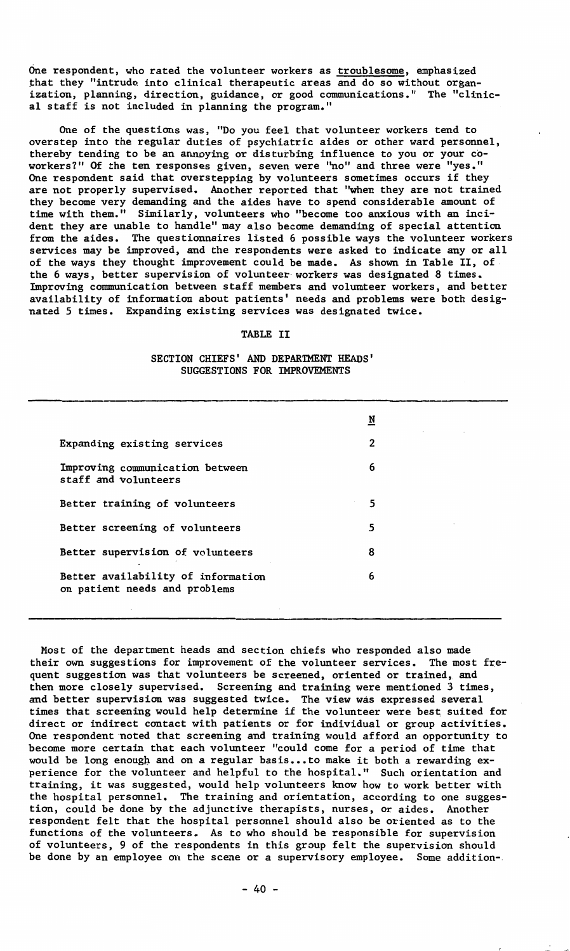One respondent, who rated the volunteer workers as <u>troublesome</u>, emphasized<br>that they "intrude into clinical therapeutic areas and do so without organ **ization, planning, direction, guidance, or good communications." The "clinic**al staff is not included in planning the program."

One of the questions was, "Do you feel that volunteer workers tend to overstep into the regular duties of psychiatric aides or other ward personnel, thereby tending to be an annoying or disturbing influence to you or your coworkers?" Of the ten responses given, seven were "no" and three were "yes." One respondent said that overstepping by volunteers sometimes occurs if they are not properly supervised. Another reported that "when they are not trained they become very demanding and the aides have to spend considerable amount of time with them." Similarly, volunteers who "become too anxious with an incident they are unable to handle" may also become demanding of special attention from the aides. The questionnaires listed 6 possible ways the volunteer workers services may be improved, and the respondents were asked to indicate any or al<br>of the ways they thought improvement could be made. As shown in Table II, of<br>the 6 ways, better supervision of volunteer workers was designated Improving communication between staff members and volmnteer workers, and better availability of information about patients' needs and problems were both desig-nated 5 times. Expanding existing services was designated twice.

# TABLE II

SECTION CHIEFS' AND DEPARTMENT HEADS' SUGGESTIONS FOR IMPROVEMENTS

|                                                                     | N              |  |
|---------------------------------------------------------------------|----------------|--|
| Expanding existing services                                         | $\mathfrak{p}$ |  |
| Improving communication between<br>staff and volunteers             | 6              |  |
| Better training of volunteers                                       | 5              |  |
| Better screening of volunteers                                      | 5              |  |
| Better supervision of volunteers                                    | 8              |  |
| Better availability of information<br>on patient needs and problems | 6              |  |
|                                                                     |                |  |

Most of the department heads and section chiefs who responded also made their own suggestions for improvement of the volunteer services. The most frequent suggestion was that volunteers be screened, oriented or trained, and then more closely supervised. Screening and training were mentioned 3 times, and better supervision was suggested twice. The view was expressed several times that screening would help determine if the volunteer were best suited for direct or indirect contact with patients or for individual or group activities. One respondent noted that screening and training would afford an opportunity to become more certain that each volunteer "could come for a period of time that would be long enough and on a regular basis ... to make it both a rewarding experience for the volunteer and helpful to the hospital." Such orientation and training, it was suggested, would help volunteers know how to work better with the hospital personnel. The training and orientation, according to one suggestion, could be done by the adjunctive therapists, nurses, or aides. Another respondent felt that the hospital personnel should also be oriented as to the functions of the volunteers. As to who should be responsible for supervision of volunteers, 9 of the respondents in this group felt the supervision should be done by an employee on the scene or a supervisory employee. Some addition-.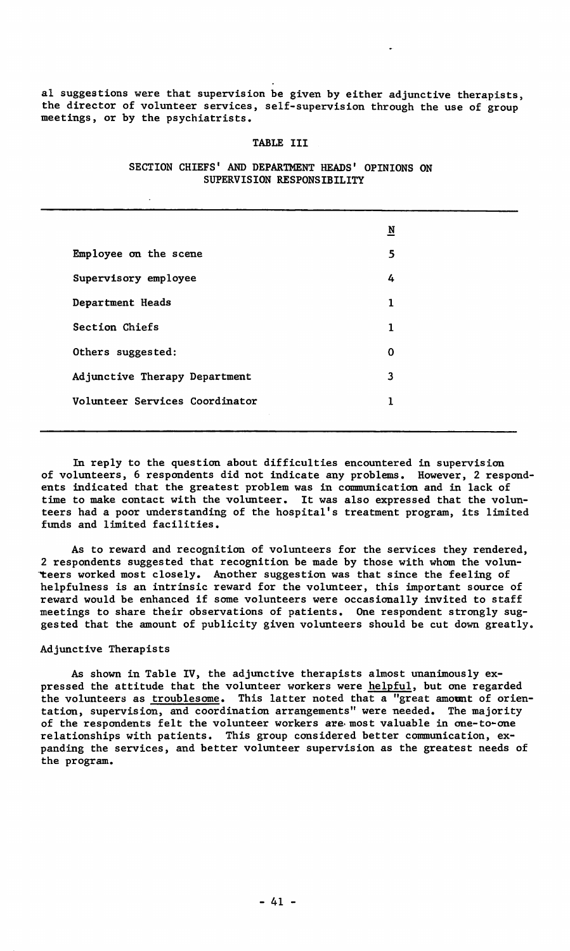al suggestions were that supervision be given by either adjunctive therapists, the director of volunteer services, self-supervision through the use of group meetings, or by the psychiatrists.

#### TABLE III

|                                | ⊻ |  |
|--------------------------------|---|--|
| Employee on the scene          | 5 |  |
| Supervisory employee           | 4 |  |
| Department Heads               | 1 |  |
| Section Chiefs                 | 1 |  |
| Others suggested:              | 0 |  |
| Adjunctive Therapy Department  | 3 |  |
| Volunteer Services Coordinator | 1 |  |
|                                |   |  |

# SECTION CHIEFS' AND DEPARTMENT HEADS' OPINIONS ON SUPERVISION **RESPONSIBILITY**

In reply to the question about difficulties encountered in supervision of volunteers, 6 respondents did not indicate any problems. However, 2 respondents indicated that the greatest problem was in communication and in lack of time to make contact with the volunteer. It was also expressed that the volunteers had a poor understanding of the hospital's treatment program, its limited funds and limited facilities.

As to reward and recognition of volunteers for the services they rendered, 2 respondents suggested that recognition be made by those with whom the volun teers worked most closely. Another suggestion was that since the feeling of helpfulness is an intrinsic reward for the volunteer, this important source of reward would be enhanced if some volunteers were occasionally invited to staff meetings to share their observations of patients. One respondent strongly suggested that the amount of publicity given volunteers should be cut down greatly.

#### Adjunctive Therapists

As shown in Table IV, the adjunctive therapists almost unanimously expressed the attitude that the volunteer workers were helpful, but one regarded the volunteers as troublesome. This latter noted that a "great **amount** of orientation, supervision, and coordination arrangements" were needed. The majority of the respondents felt the volunteer workers are most valuable in one-to-one relationships with patients. This group considered better connnunication, expanding the services, and better volunteer supervision as the greatest needs of the program.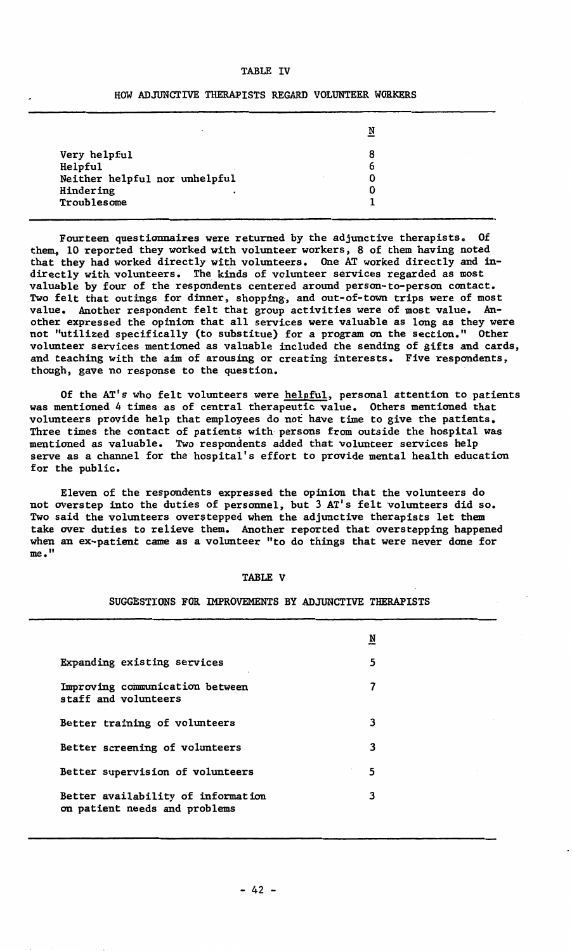#### TABLE IV

### HOW ADJUNCTIVE THERAPISTS REGARD VOLUNTEER WORKERS

| ٠                                                                                         | N                |
|-------------------------------------------------------------------------------------------|------------------|
| Very helpful<br>Helpful<br>Neither helpful nor unhelpful<br>Hindering<br>٠<br>Troublesome | 8<br>6<br>0<br>0 |

Fourteen questionmaires were returned by the adjunctive therapists. Of them, 10 reported they worked with volunteer workers, 8 of them having noted that they had worked directly with volunteers. One AT worked directly and indirectly with volunteers. The kinds of volunteer services regarded as most valuable by four of the respondents centered around person-to-person contact. Two felt that outings for dinner, shopping, and out-of-town trips were of most value. Another respondent felt that group activities were of most value. Another expressed the opinion that all services were valuable as long as they were not "utilized specifically (to substitue) for a program on the section." Other volunteer services mentioned as valuable included the sending of gifts and cards, and teaching with the aim of arousing or creating interests. Five respondents, though, gave no response to the question.

Of the AT's who felt volunteers were helpful, personal attention to patients was mentioned 4 times as of central therapeutic value. Others mentioned that volunteers provide help that employees do not have time to give the patients. Three times the contact of patients with persons from outside the hospital was mentioned as valuable. Two respondents added that volunteer services help serve as a channel for the hospital's effort to provide mental health education for the public.

Eleven of the respondents expressed the opinion that the volunteers do not overstep into the duties of personnel, but 3 AT's felt volunteers did so. Two said the volunteers overstepped when the adjunctive therapists let them take over duties to relieve them. Another reported that overstepping happened when an ex-patient came as a volunteer "to do things that were never done for me."

#### TABLE V

#### SUGGESTIONS FOR IMPROVEMENTS BY ADJUNCTIVE THERAPISTS

|                                                                     | N |  |
|---------------------------------------------------------------------|---|--|
| Expanding existing services                                         | 5 |  |
| Improving communication between<br>staff and volunteers             | 7 |  |
| Better training of volunteers                                       | 3 |  |
| Better screening of volunteers                                      | 3 |  |
| Better supervision of volunteers                                    | 5 |  |
| Better availability of information<br>on patient needs and problems | 3 |  |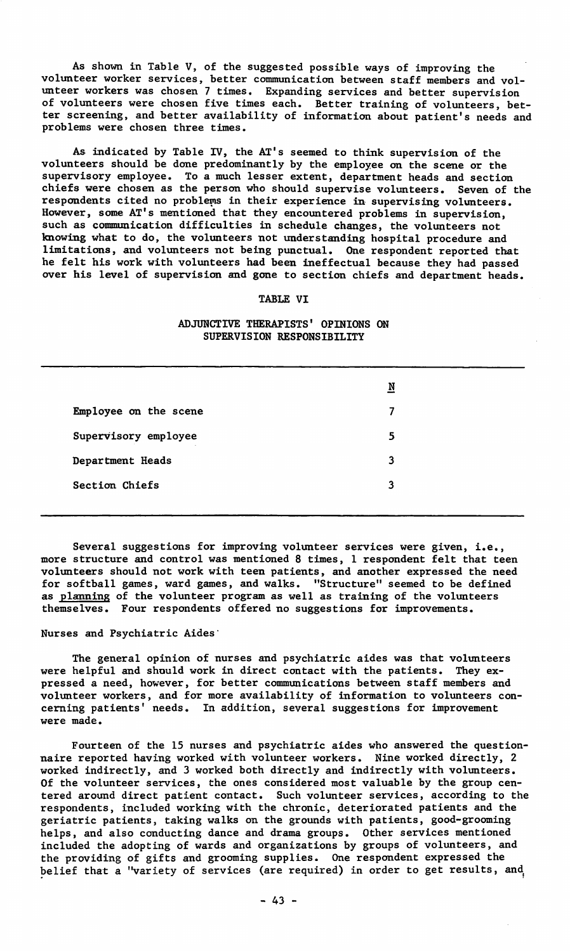As shown in Table V, of the suggested possible ways of improving the volunteer worker services, better communication between staff members and volunteer workers was chosen 7 times. Expanding services and better supervision of volunteers were chosen five times each. Better training of volunteers, better screening, and better availability of information about patient's needs and problems were chosen three times.

As indicated by Table IV, the AT's seemed to think supervision of the volunteers should be done predominantly by the employee on the scene or the supervisory employee. To a much lesser extent, department heads and section chiefs were chosen as the person who should supervise volunteers. Seven of the respondents cited no problems in their experience in supervising volunteers. However, some AT's mentioned that they encountered problems in supervision, such as communication difficulties in schedule changes, the volunteers not knowing what to do, the volunteers not understanding hospital procedure and limitations, and volunteers not being punctual. One respondent reported that he felt his work with volunteers had been ineffectual because they had passed over his level of supervision and gone to section chiefs and department heads.

# TABLE VI

# ADJUNCTIVE THERAPISTS' OPINIONS ON SUPERVISION RESPONSIBILITY

|                       | N |
|-----------------------|---|
| Employee on the scene | 7 |
| Supervisory employee  | 5 |
| Department Heads      | 3 |
| Section Chiefs        | 3 |
|                       |   |

Several suggestions for improving volunteer services were given, i.e., more structure and control was mentioned 8 times, 1 respondent felt that teen volunteers should not work with teen patients, and another expressed the need for softball games, ward games, and walks. "Structure" seemed to be defined as planning of the volunteer program as well as training of the volunteers themselves. Four respondents offered no suggestions for improvements.

# Nurses and Psychiatric Aides·

The general opinion of nurses and psychiatric aides was that volunteers were helpful and should work in direct contact with the patients. They expressed a need, however, for better communications between staff members and volunteer workers, and for more availability of information to volunteers concerning patients' needs. In addition, several suggestions for improvement were made.

Fourteen of the 15 nurses and psychiatric aides who answered the questionnaire reported having worked with volunteer workers. Nine worked directly, 2 worked indirectly, and 3 worked both directly and indirectly with volunteers. Of the volunteer services, the ones considered most valuable by the group centered around direct patient contact. Such volunteer services, according to the respondents, included working with the chronic, deteriorated patients and the geriatric patients, taking walks on the grounds with patients, good-grooming helps, and also conducting dance and drama groups. Other services mentioned included the adopting of wards and organizations by groups of volunteers, and the providing of gifts and grooming supplies. One respondent expressed the belief that a "variety of services (are required) in order to get results, and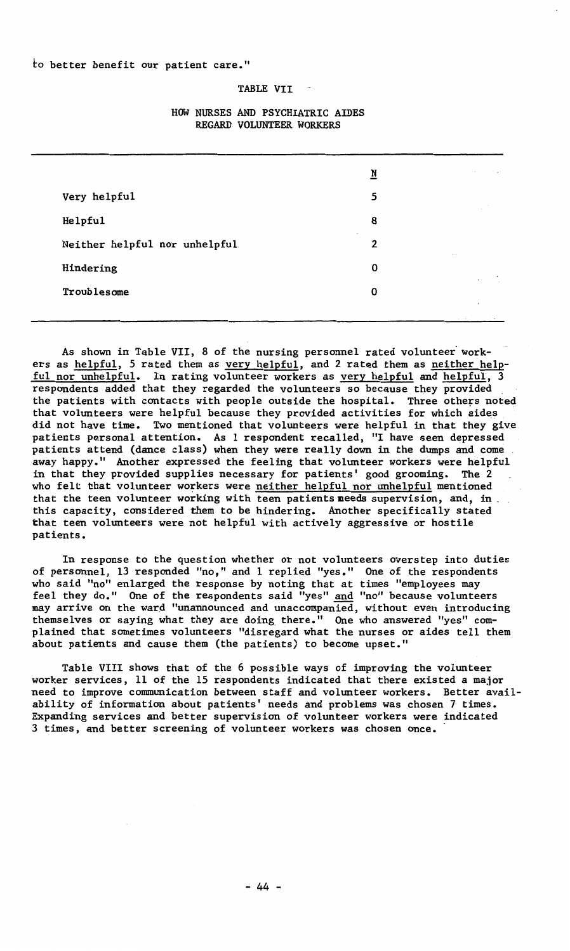# TABLE VII

|                                    | ₫                 | the con- |
|------------------------------------|-------------------|----------|
| Very helpful                       | 5                 |          |
| Helpful                            | 8                 |          |
| ×<br>Neither helpful nor unhelpful | 2<br>$\mathbf{a}$ |          |
| Hindering                          | 0                 | $\sim$   |
| Troublesome                        | 0                 |          |
|                                    |                   |          |

# HOW NURSES AND PSYCHIATRIC AIDES REGARD VOLUNTEER WORKERS

As shown in Table VII, 8 of the nursing personnel rated volunteer workers as helpful, 5 rated them as very helpful, and 2 rated them as neither helpful nor unhelpful. In rating volunteer workers as very helpful and helpful, respondents added that they regarded the volunteers so because they provided the patients with contacts with people outside the hospital. Three others noted<br>that volunteers were helpful because they provided activities for which aides did not have time. Two mentioned that volunteers were helpful in that they give patients personal attention. As 1 respondent recalled, "I have seen depressed patients attend (dance class) when they were really down in the dumps and come away happy." Another expressed the feeling that volunteer workers were helpful in that they provided supplies necessary for patients' good grooming. The 2 who felt that volunteer workers were neither helpful nor unhelpful mentioned that the teen volunteer working with teen patients **needs** supervision, and, in . this capacity, considered them to be hindering. Another specifically stated that teen volunteers were not helpful with actively aggressive or hostile patients.

In response to the question whether or not volunteers overstep into duties of personnel, 13 responded "no," and 1 replied "yes." One of the respondents who said "no" enlarged the response by noting that at times "employees may feel they do." One of the respondents said "yes" <u>and</u> "no" because volunteers<br>may arrive on the ward "unannounced and unaccompanied, without even introduci themselves or saying what they are doing there." One who answered "yes" complained that sometimes volunteers "disregard what the nurses or aides tell them about patients and cause them (the patients) to become upset."

Table VIII shows that of the 6 possible ways of improving the volunteer worker services, 11 of the 15 respondents indicated that there existed a major need to improve communication between staff and volunteer workers. Better avail-ability of information about patients' needs and problems was chosen 7 times. Expanding services and better supervision of volunteer workers were indicated 3 times, and better screening of volunteer workers was chosen once.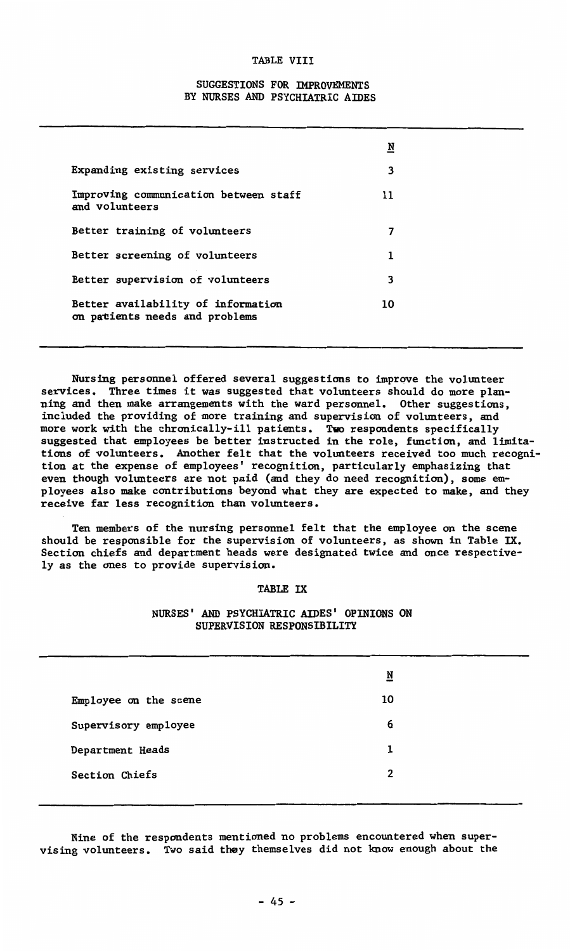#### TABLE VIII

# SUGGESTIONS FOR IMPROVEMENTS BY NURSES AND PSYCHIATRIC AIDES

|                                                                      | N  |
|----------------------------------------------------------------------|----|
| Expanding existing services                                          | 3  |
| Improving communication between staff<br>and volunteers              | 11 |
| Better training of volunteers                                        |    |
| Better screening of volunteers                                       | 1  |
| Better supervision of volunteers                                     | 3  |
| Better availability of information<br>on patients needs and problems | 10 |

Nursing personnel offered several suggestions to improve the volunteer services. Three times it was suggested that volunteers should do more planning and then make arrangements with the ward personnel. Other suggestions, included the providing of more training and supervision of volunteers, and more work with the chronically-ill patients. Two respondents specifically suggested that employees be better instructed in the role, function, and limitations of volunteers. Another felt that the volunteers received too much recognition at the expense of employees' recognition, particularly emphasizing that even though volunteers are not paid (and they do need recognition), some employees also make contributions beyond what they are expected to make, and they receive far less recognition than volunteers.

Ten members of the nursing personnel felt that the employee on the scene should be responsible for the supervision of volunteers, as shown in Table IX. Section chiefs and department heads were designated twice and once respectively as the ones to provide supervision.

### TABLE IX

## NURSES' AND PSYCHIATRIC AIDES' OPINIONS ON SUPERVISION RESPONSIBILITY

|                       | N  |  |
|-----------------------|----|--|
| Employee on the scene | 10 |  |
| Supervisory employee  | 6  |  |
| Department Heads      | 1  |  |
| Section Chiefs        | 2  |  |
|                       |    |  |

Nine of the respondents mentioned no problems encountered when supervising volunteers. Two said they themselves did not know enough about the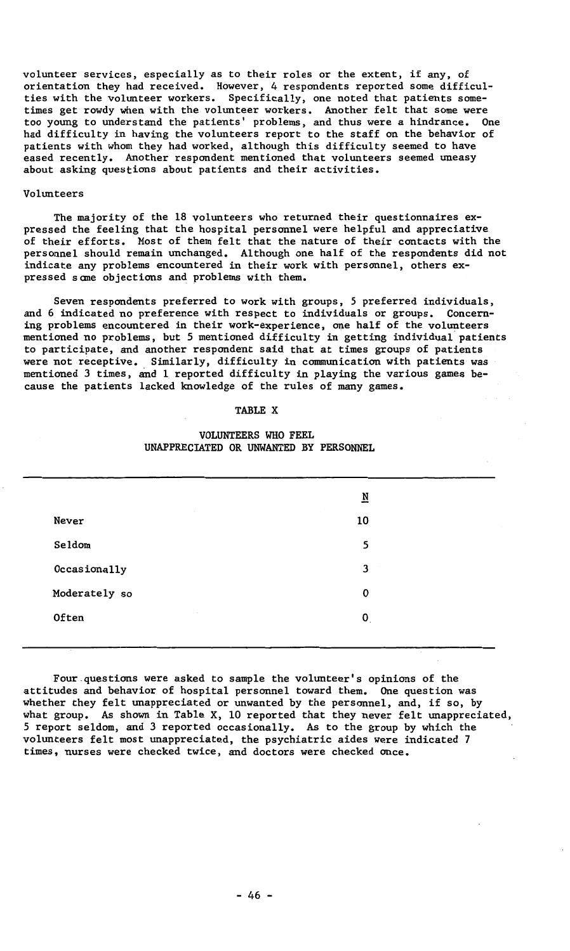**volunteer services, especially as to their roles or the extent, if any, of**  orientation they had received. However, 4 respondents reported some difficulties with the volunteer workers. Specifically, one noted that patients sometimes get rowdy when with the volunteer workers. Another felt that some were too young to understand the patients' problems, and thus were a hindrance. One had difficulty in having the volunteers report to the staff on the behavior of patients with whom they had worked, although this difficulty seemed to have eased recently, Another respondent mentioned that volunteers seemed uneasy about asking questions about patients and their activities.

#### Volunteers

The majority of the 18 volunteers who returned their questionnaires expressed the feeling that the hospital personnel were helpful and appreciative of their efforts. Most of them felt that the nature of their contacts with the personnel should remain unchanged. Although one half of the respondents did not indicate any problems encountered in their work with personnel, others expressed sane objections and problems with them.

Seven respondents preferred to work with groups, *5* preferred individuals, and 6 indicated no preference with respect to individuals or groups. Concerning problems encountered in their work-experience, one half of the volunteer<br>mentioned no problems, but 5 mentioned difficulty in getting individual pat: to participate, and another respondent said that at times groups of patients were not receptive. Similarly, difficulty in communication with patients was mentioned 3 times, and 1 reported difficulty in playing the various games because the patients lacked knowledge of the rules of many games.

#### TABLE X

# VOLUNTEERS WHO FEEL UNAPPRECIATED OR UNWANTED BY PERSONNEL

|               | N           |
|---------------|-------------|
| Never         | 10          |
| Seldom        | 5           |
| Occasionally  | 3           |
| Moderately so | $\mathbf 0$ |
| Often         | 0           |
|               |             |

Four questions were asked to sample the volunteer's opinions of the attitudes and behavior of hospital personnel toward them. One question was whether they felt unappreciated or unwanted by the personnel, and, if so, by what group. As shown in Table X, 10 reported that they never felt unappreciated, 5 report seldom, and 3 reported occasionally. As to the group by which the volunteers felt most unappreciated, the psychiatric aides were indicated 7 times, nurses were checked twice, and doctors were checked once.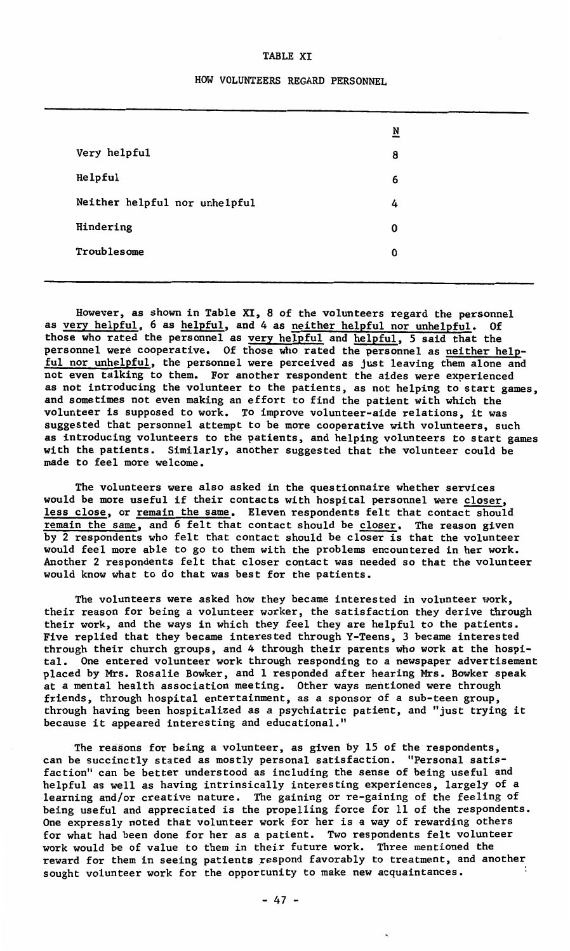#### TABLE XI

# HOW VOLUNTEERS REGARD PERSONNEL

|                               | $\overline{\mathbf{N}}$ |
|-------------------------------|-------------------------|
| Very helpful                  | 8                       |
| Helpful                       | 6                       |
| Neither helpful nor unhelpful | 4                       |
| Hindering                     | 0                       |
| Troublesome                   | O                       |
|                               |                         |

However, as shown in Table XI, 8 of the volunteers regard the personnel as very helpful, 6 as helpful, and 4 as neither helpful nor unhelpful. Of those who rated the personnel as very helpful and helpful, 5 said that the personnel were cooperative. Of those who rated the personnel as neither helpful nor unhelpful, the personnel were perceived as just leaving them alone and not even talking to them. For another respondent the aides were experienced as not introducing the volunteer to the patients, as not helping to start games, and sometimes not even making an effort to find the patient with which the volunteer is supposed to work. To improve volunteer-aide relations, it was suggested that personnel attempt to be more cooperative with volunteers, such as introducing volunteers to the patients, and helping volunteers to start games with the patients. Similarly, another suggested that the volunteer could be made to feel more welcome.

The volunteers were also asked in the questionnaire whether services would be more useful if their contacts with hospital personnel were closer, less close, or remain the same. Eleven respondents felt that contact should remain the same, and 6 felt that contact should be closer. The reason given by 2 respondents who felt that contact should be closeris that the volunteer would feel more able to go to them with the problems encountered in her work. Another 2 respondents felt that closer contact was needed so that the volunteer would know what to do that was best for the patients.

The volunteers were asked how they became interested in volunteer work, their reason for being a volunteer worker, the satisfaction they derive through their work, and the ways in which they feel they are helpful to the patients. Five replied that they became interested through Y-Teens, 3 became interested through their church groups, and 4 through their parents who work at the hospital. One entered volunteer work through responding to a newspaper advertisement placed by Mrs. Rosalie Bowker, and 1 responded after hearing Mrs. Bowker speak at a mental health association meeting. Other ways mentioned were through friends, through hospital entertainment, as a sponsor of a sub-teen group, through having been hospitalized as a psychiatric patient, and "just trying it because it appeared interesting and educational."

The reasons for being a volunteer, as given by 15 of the respondents, can be succinctly stated as mostly personal satisfaction. "Personal satisfaction" can be better understood as including the sense of being useful and helpful as well as having intrinsically interesting experiences, largely of a learning and/or creative nature. The gaining or re-gaining of the feeling of being useful and appreciated is the propelling force for 11 of the respondents. One expressly noted that volunteer work for her is a way of rewarding others for what had been done for her as a patient. Two respondents felt volunteer work would be of value to them in their future work. Three mentioned the reward for them in seeing patients respond favorably to treatment, and another sought volunteer work for the opportunity to make new acquaintances.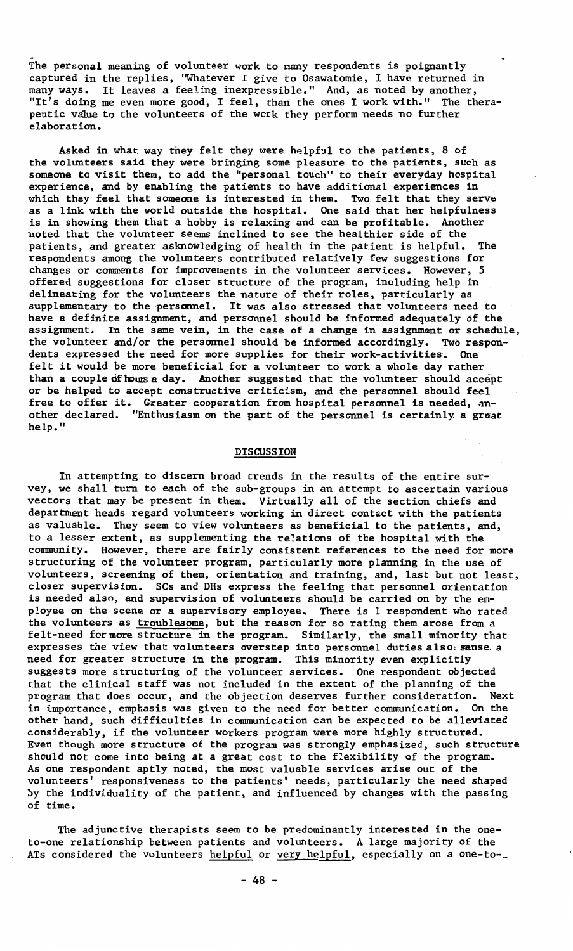The personal meaning of volunteer work to many respondents is poignantly captured in the replies, ''Whatever I give to Osawatomie, I have returned in many ways. It leaves a feeling inexpressible." And, as noted by another, "It's doing me even more good, I feel, than the ones I work with." The therapeutic value to the volunteers of the work they perform needs no further elaboration.

Asked in what way they felt they were helpful to the patients, 8 of the volunteers said they were bringing some pleasure to the patients, such as someone to visit them, to add the "personal touch" to their everyday hospital experience, and by enabling the patients to have additional experiences in<br>which they feel that someone is interested in them. Two felt that they serve<br>as a link with the world outside the hospital. One said that her helpf noted that the volunteer seems inclined to see the healthier side of the patients, and greater asknowledging of health in the patient is helpful. The respondents among the volunteers contributed relatively few suggestions for changes or comments for improvements in the volunteer services. However, *5*  offered suggestions for closer structure of the program, including help in delineating for the volunteers the nature of their roles, particularly **as**  supplementary to the personnel. It was also stressed that volunteers need to have a definite assignment, and personnel should be informed adequately of the **assignment. In the same vein, in the case of a change in assignment or schedule,**  the volunteer and/or the personnel should be informed accordingly. Two respondents expressed the need for more supplies for their work-activities. One felt it would be more beneficial for a volunteer to work a whole day rather than a couple of hours a day. Another suggested that the volunteer should accept or **be** helped to accept constructive criticism, and the personnel should feel free to offer it. Greater cooperation from hospital personnel is needed, another declared. "Enthusiasm on the part of the personnel is certainly a great help."

#### DISCUSSION

In attempting to discern broad trends in the results of the entire survey, we shall turn to each of the sub-groups in an attempt to ascertain variou<br>vectors that may be present in them. Virtually all of the section chiefs and department heads regard volunteers working in direct contact with the patients as valuable. They seem to view volunteers as beneficial to the patients, and, to a lesser extent, as supplementing the relations of the hospital with the community. However, there are fairly consistent references to the need for more structuring of the volunteer program, particularly more planning in the use of volunteers, screening of them, orientation and training, and, last but not least, closer supervision. SCs and DHs express the feeling that personnel orientation is needed also, and supervision of volunteers should be carried on by the employee on the scene or a supervisory employee. There is 1 respondent who rated<br>the volunteers as <u>troublesome</u>, but the reason for so rating them arose from a<br>felt-need for more structure in the program. Similarly, the sma expresses the view that volunteers overstep into personnel duties also: sense a<br>need for greater structure in the program. This minority even explicitly<br>suggests more structuring of the volunteer services. One respondent o that the clinical staff was not included in the extent of the planning of the program that does occur, and the objection deserves further consideration. Next in importance, emphasis was given to the need for better communication. On the other hand, such difficulties in communication can be expected to be alleviated considerably, if the volunteer workers program were more highly structured. Even though more structure of the program was strongly emphasized, such structure should not come into being at a great cost to the flexibility of the program. As one respondent aptly noted, the most valuable services arise out of the volunteers' responsiveness to the patients' needs, particularly the need shaped by the individuality of the patient, and influenced by changes with the passing of time.

The adjunctive therapists seem to be predominantly interested in the oneto-one relationship between patients and volunteers. A large majority of the ATs considered the volunteers helpful or very helpful, especially on a one-to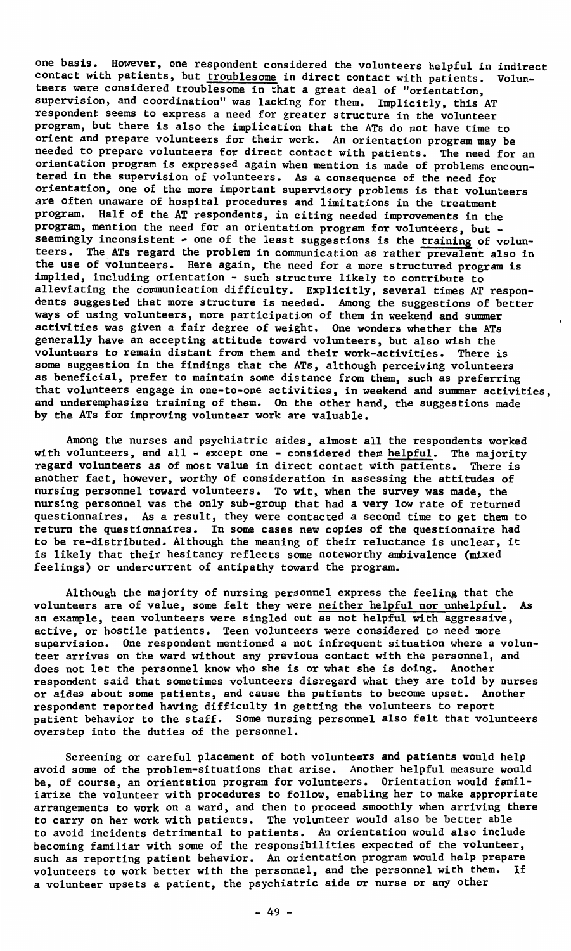one basis. However, one respondent considered the volunteers helpful in indirect contact with patients, but troublesome in direct contact with patients. Volunteers were considered troublesome in that a great deal of "orientation, supervision, and coordination" was lacking for them. Implicitly, this AT respondent seems to express a need for greater structure in the volunteer program, but there is also the implication that the ATs do not have time to orient and prepare volunteers for their work. An orientation program may be needed to prepare volunteers for direct contact with patients. The need for an orientation program is expressed again when mention is made of problems encountered in the supervision of volunteers. As a consequence of the need for orientation, one of the more important supervisory problems is that volunteers are often unaware of hospital procedures and limitations in the treatment program. Half of the AT respondents, in citing needed improvements in the program, mention the need for an orientation program for volunteers, but seemingly inconsistent - one of the least suggestions is the training of volunteers. The ATs regard the problem in communication as rather prevalent also in the use of volunteers. Here again, the need for a more structured program is implied, including orientation - such structure likely to contribute to alleviating the communication difficulty. Explicitly, several times AT respondents suggested that more structure is needed. Among the suggestions of better ways of using volunteers, more participation of them in weekend and summer activities was given a fair degree of weight. One wonders whether the ATs generally have an accepting attitude toward volunteers, but also wish the volunteers to remain distant from them and their work-activities. There is some suggestion in the findings that the ATs, although perceiving volunteers as beneficial, prefer to maintain some distance from them, such as preferring that volunteers engage in one-to-one activities, in weekend and summer activities, and underemphasize training of them. On the other hand, the suggestions made by the ATs for improving volunteer work are valuable.

Among the nurses and psychiatric aides, almost all the respondents worked with volunteers, and all - except one - considered them helpful. The majority regard volunteers as of most value in direct contact with patients. There is another fact, however, worthy of consideration in assessing the attitudes of nursing personnel toward volunteers. To wit, when the survey was made, the nursing personnel was the only sub-group that had a very low rate of retumed questionnaires. As a result, they were contacted a second time to get them to retum the questionnaires. In some cases new copies of the questionnaire had to be re-distributed. Although the meaning of their reluctance is unclear, it is likely that their hesitancy reflects some noteworthy ambivalence (mixed feelings) or undercurrent of antipathy toward the program.

Although the majority of nursing personnel express the feeling that the volunteers are of value, some felt they were neither helpful nor unhelpful. As an example, teen volunteers were singled out as not helpful with aggressive, active, or hostile patients. Teen volunteers were considered to need more supervision. One respondent mentioned a not infrequent situation where a volunteer arrives on the ward without any previous contact with the personnel, and does not let the personnel know who she is or what she is doing. Another respondent said that sometimes volunteers disregard what they are told by nurses or aides about some patients, and cause the patients to become upset. Another respondent reported having difficulty in getting the volunteers to report patient behavior to the staff. Some nursing personnel also felt that volunteers overstep into the duties of the personnel.

Screening or careful placement of both volunteers and patients would help avoid some of the problem-situations that arise. Another helpful measure would be, of course, an orientation program for volunteers. Orientation would familiarize the volunteer with procedures to follow, enabling her to make appropriate arrangements to work on a ward, and then to proceed smoothly when arriving there to carry on her work with patients. The volunteer would also be better able to avoid incidents detrimental to patients. An orientation would also include becoming familiar with some of the responsibilities expected of the volunteer, such as reporting patient behavior. An orientation program would help prepare volunteers to work better with the personnel, and the personnel with them. If a volunteer upsets a patient, the psychiatric aide or nurse or any other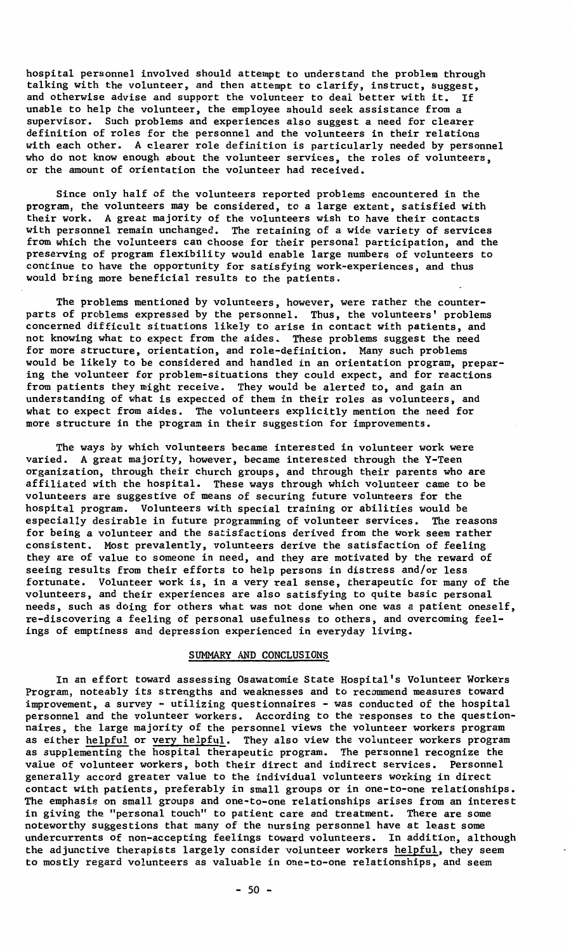hospital personnel involved should attempt to understand the problem through talking with the volunteer, and then attempt to clarify, instruct, suggest, and otherwise advise and support the volunteer to deal better with it. If unable to help the volunteer, the employee should seek assistance from a<br>supervisor. Such problems and experiences also suggest a need for cleare definition of roles for the personnel and the volunteers in their relations with each other. A clearer role definition is particularly needed by personnel who do not know enough about the volunteer services, the roles of volunteers, or the amount of orientation the volunteer had received.

Since only half of the volunteers reported problems encountered in the program, the volunteers may be considered, to a large extent, satisfied with their work. A great majority of the volunteers wish to have their contacts with personnel remain unchanged. The retaining of a wide variety of services from which the volunteers can choose for their personal participation, and the<br>preserving of program flexibility would enable large numbers of volunteers to<br>continue to have the opportunity for satisfying work-experiences, would bring more beneficial results to the patients.

The problems mentioned by volunteers, however, were rather the counterparts of problems expressed by the personnel, Thus, the volunteers' problems concerned difficult situations likely to arise in contact with patients, and not knowing what to expect from the aides. These problems suggest the need for more structure, orientation, and role-definition. Many such problems<br>would be likely to be considered and handled in an orientation program, prepaː ing the volunteer for problem-situations they could expect, and for reaction<br>from patients they might receive. They would be alerted to, and gain an<br>understanding of what is expected of them in their roles as volunteers, a what to expect from aides. The volunteers explicitly mention the need for more structure in the program in their suggestion for improvements.

The ways by which volunteers became interested in volunteer work were varied. A great majority, however, became interested through the Y-Teen organization, through their church groups, and through their parents who are affiliated with the hospital. These ways through which volunteer came to be volunteers are suggestive of means of securing future volunteers for the hospital program. Volunteers with special training or abilities would be especially desirable in future programming of volunteer services. The reasons **for being a volunteer and the satisfactions derived from the work seem rather**  consistent. Most prevalently, volunteers derive the satisfaction of feeling they are of value to someone in need, and they are motivated by the reward of seeing results from their efforts to help persons in distress and/or less **fortunate. Volunteer work is, in a very real sense, therapeutic for many of the**  volunteers, and their experiences are also satisfying to quite basic personal needs, such as doing for others what was not done when one was a patient oneself, re-discovering a feeling of personal usefulness to others, and overcoming feelings of emptiness and depression experienced in everyday living.

# SUMMARY AND CONCLUSIONS

In an effort toward assessing Osawatomie State Hospital's Volunteer Workers Program, noteably its strengths and weaknesses and to recommend measures toward improvement, a survey - utilizing questionnaires - was conducted of the hospital personnel and the volunteer workers. According to the responses to the questionnaires, the large majority of the personnel views the volunteer workers program as either helpful or very helpful. They also view the volunteer workers program as supplementing the hospital therapeutic program. The personnel recognize the value of volunteer workers, both their direct and indirect services. Personnel generally accord greater value to the individual volunteers working in direct contact with patients, preferably in small groups or in one-to-one relationships. The emphasis on small groups and one-to-one relationships arises from an interest **in giving the "personal touch" to patient care and treatment. There are some**  noteworthy suggestions that many of the nursing personnel have at least some undercurrents of non-accepting feelings toward volunteers. In addition, although the adjunctive therapists largely consider volunteer workers helpful, they seem **to mostly regard volunteers as valuable in one-to-one relationships, and seem**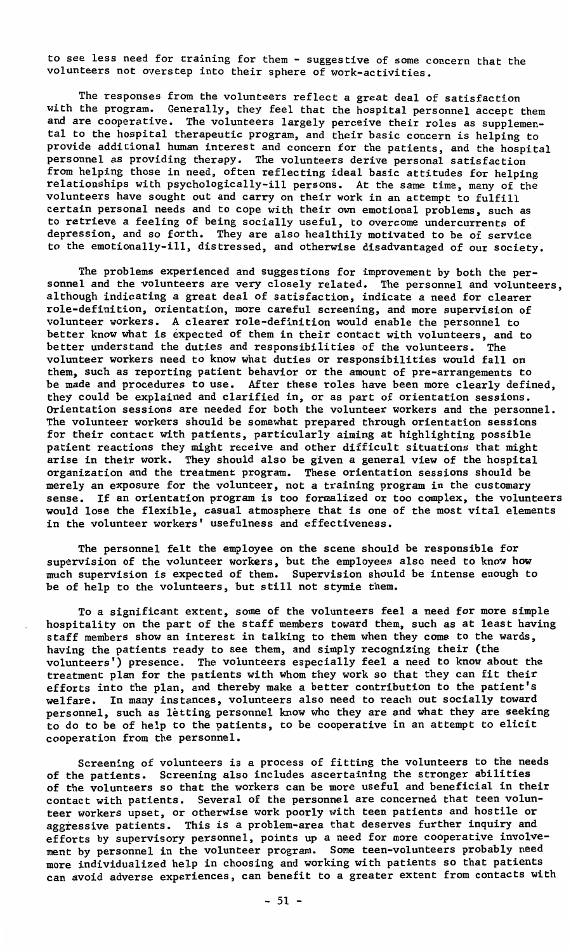to see less need for training for them - suggestive of some concern that the volunteers not overstep into their sphere of work-activities.

The responses from the volunteers reflect a great deal of satisfaction with the program. Generally, they feel that the hospital personnel accept them and are cooperative. The volunteers largely perceive their roles as supplemen<br>tal to the hospital therapeutic program, and their basic concern is helping to provide additional human interest and concern for the patients, and the hospital personnel as providing therapy. The volunteers derive personal satisfaction from helping those in need, often reflecting ideal basic attitudes for helping relationships with psychologically-ill persons. At the same time, many of the volunteers have sought out and carry on their work in an attempt to fulfill certain personal needs and to cope with their own emotional problems, such as to retrieve a feeling of being socially useful, to overcome undercurrents of depression, and so forth. They are also healthily motivated to be of service to the emotionally-ill, distressed, and otherwise disadvantaged of our society.

The problems experienced and suggestions for improvement by both the personnel and the volunteers are very closely related. The personnel and volunteers, although indicating a great deal of satisfaction, indicate a need for clearer role-definition, orientation, more careful screening, and more supervision of volunteer workers. A clearer role-definition would enable the personnel to better know what is expected of them in their contact with volunteers, and to better understand the duties and responsibilities of the volunteers. The better understand the duties and responsibilities of the volunteers. volunteer workers need to know what duties or responsibilities would fall on them, such as reporting patient behavior or the amount of pre-arrangements to be made and procedures to use. After these roles have been more clearly defined, they could be explained and clarified in, or as part of orientation sessions. Orientation sessions are needed for both the volunteer workers and the personnel. The volunteer workers should be somewhat prepared through orientation sessions for their contact with patients, particularly aiming at highlighting possible patient reactions they might receive and other difficult situations that might arise in their work. They should also be given a general view of the hospital organization and the treatment program. These orientation sessions should be merely an exposure for the volunteer, not a training program in the customary sense. If an orientation program is too formalized or too complex, the volunteers would lose the flexible, casual atmosphere that is one of the most vital elements in the volunteer workers' usefulness and effectiveness.

The personnel felt the employee on the scene should be responsible for supervision of the volunteer workers, but the employees also need to know how much supervision is expected of them. Supervision should be intense enough to be of help *to* the volunteers, but still not stymie them.

To a significant extent, some of the volunteers feel a need for more simple hospitality on the part of the staff members toward them, such as at least having staff members show an interest in talking to them when they come *to* the wards, having the patients ready to see them, and simply recognizing their (the volunteers') presence. The volunteers especially feel a need to know about the treatment plan for the patients with whom they work so that they can fit their efforts into the plan, and thereby make a better contribution *to* the patient's welfare. In many instances, volunteers also need to reach out socially toward personnel, such as letting personnel know who they are and what they are seeking to do to be of help *to* the patients, to be cooperative in an attempt to elicit cooperation from the personnel.

Screening of volunteers is a process of fitting the volunteers to the needs of the patients. Screening also includes ascertaining the stronger abilities of the volunteers so that the workers can be more useful and beneficial in their contact with patients. Several of the personnel are concerned that teen volunteer workers upset, or otherwise work poorly with teen patients and hostile or aggressive patients. This is a problem-area that deserves further inquiry and efforts by supervisory personnel, points up a need for more cooperative involvement by personnel in the volunteer program. Some teen-volunteers probably need more individualized help in choosing and working with patients so that patients can avoid adverse experiences, can benefit to a greater extent from contacts with